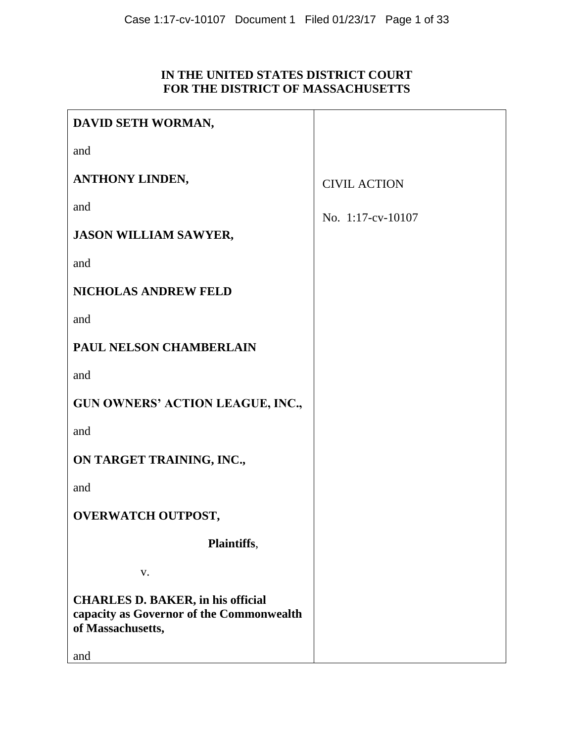## **IN THE UNITED STATES DISTRICT COURT FOR THE DISTRICT OF MASSACHUSETTS**

| DAVID SETH WORMAN,                                                                                        |                     |  |  |  |
|-----------------------------------------------------------------------------------------------------------|---------------------|--|--|--|
| and                                                                                                       |                     |  |  |  |
| ANTHONY LINDEN,                                                                                           | <b>CIVIL ACTION</b> |  |  |  |
| and                                                                                                       | No. 1:17-cv-10107   |  |  |  |
| <b>JASON WILLIAM SAWYER,</b>                                                                              |                     |  |  |  |
| and                                                                                                       |                     |  |  |  |
| <b>NICHOLAS ANDREW FELD</b>                                                                               |                     |  |  |  |
| and                                                                                                       |                     |  |  |  |
| PAUL NELSON CHAMBERLAIN                                                                                   |                     |  |  |  |
| and                                                                                                       |                     |  |  |  |
| GUN OWNERS' ACTION LEAGUE, INC.,                                                                          |                     |  |  |  |
| and                                                                                                       |                     |  |  |  |
| ON TARGET TRAINING, INC.,                                                                                 |                     |  |  |  |
| and                                                                                                       |                     |  |  |  |
| <b>OVERWATCH OUTPOST,</b>                                                                                 |                     |  |  |  |
| Plaintiffs,                                                                                               |                     |  |  |  |
| ${\bf V}$ .                                                                                               |                     |  |  |  |
| <b>CHARLES D. BAKER, in his official</b><br>capacity as Governor of the Commonwealth<br>of Massachusetts, |                     |  |  |  |
| and                                                                                                       |                     |  |  |  |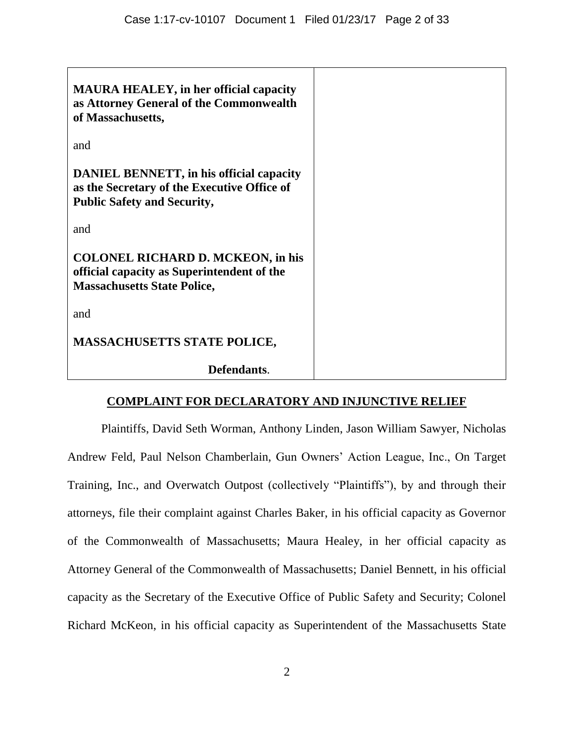| <b>MAURA HEALEY, in her official capacity</b><br>as Attorney General of the Commonwealth<br>of Massachusetts,                        |  |
|--------------------------------------------------------------------------------------------------------------------------------------|--|
| and                                                                                                                                  |  |
| <b>DANIEL BENNETT, in his official capacity</b><br>as the Secretary of the Executive Office of<br><b>Public Safety and Security,</b> |  |
| and                                                                                                                                  |  |
| <b>COLONEL RICHARD D. MCKEON, in his</b><br>official capacity as Superintendent of the<br><b>Massachusetts State Police,</b>         |  |
| and                                                                                                                                  |  |
| <b>MASSACHUSETTS STATE POLICE,</b>                                                                                                   |  |
| Defendants.                                                                                                                          |  |

## **COMPLAINT FOR DECLARATORY AND INJUNCTIVE RELIEF**

Plaintiffs, David Seth Worman, Anthony Linden, Jason William Sawyer, Nicholas Andrew Feld, Paul Nelson Chamberlain, Gun Owners' Action League, Inc., On Target Training, Inc., and Overwatch Outpost (collectively "Plaintiffs"), by and through their attorneys, file their complaint against Charles Baker, in his official capacity as Governor of the Commonwealth of Massachusetts; Maura Healey, in her official capacity as Attorney General of the Commonwealth of Massachusetts; Daniel Bennett, in his official capacity as the Secretary of the Executive Office of Public Safety and Security; Colonel Richard McKeon, in his official capacity as Superintendent of the Massachusetts State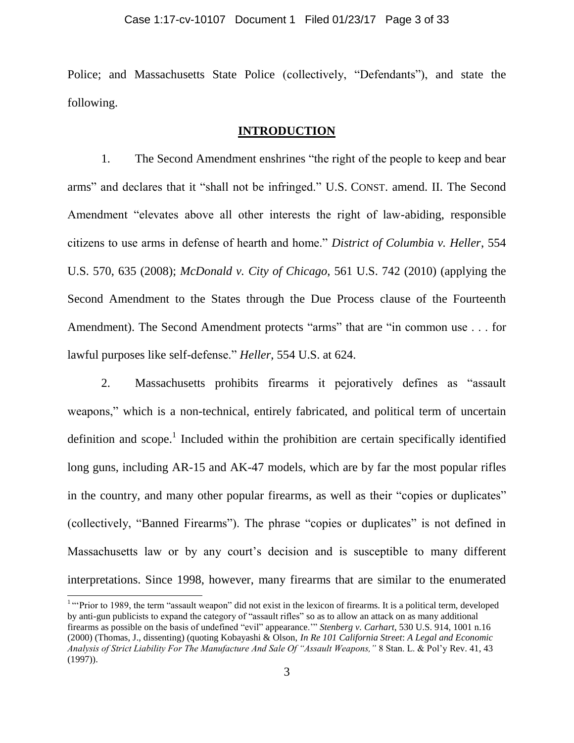Police; and Massachusetts State Police (collectively, "Defendants"), and state the following.

## **INTRODUCTION**

1. The Second Amendment enshrines "the right of the people to keep and bear arms" and declares that it "shall not be infringed." U.S. CONST. amend. II. The Second Amendment "elevates above all other interests the right of law-abiding, responsible citizens to use arms in defense of hearth and home." *District of Columbia v. Heller*, 554 U.S. 570, 635 (2008); *McDonald v. City of Chicago*, 561 U.S. 742 (2010) (applying the Second Amendment to the States through the Due Process clause of the Fourteenth Amendment). The Second Amendment protects "arms" that are "in common use . . . for lawful purposes like self-defense." *Heller*, 554 U.S. at 624.

2. Massachusetts prohibits firearms it pejoratively defines as "assault weapons," which is a non-technical, entirely fabricated, and political term of uncertain definition and scope. 1 Included within the prohibition are certain specifically identified long guns, including AR-15 and AK-47 models, which are by far the most popular rifles in the country, and many other popular firearms, as well as their "copies or duplicates" (collectively, "Banned Firearms"). The phrase "copies or duplicates" is not defined in Massachusetts law or by any court's decision and is susceptible to many different interpretations. Since 1998, however, many firearms that are similar to the enumerated

 $\overline{\phantom{a}}$ 

<sup>&</sup>lt;sup>1</sup> "Prior to 1989, the term "assault weapon" did not exist in the lexicon of firearms. It is a political term, developed by anti-gun publicists to expand the category of "assault rifles" so as to allow an attack on as many additional firearms as possible on the basis of undefined "evil" appearance.'" *Stenberg v. Carhart*, 530 U.S. 914, 1001 n.16 (2000) (Thomas, J., dissenting) (quoting Kobayashi & Olson, *In Re 101 California Street*: *A Legal and Economic Analysis of Strict Liability For The Manufacture And Sale Of "Assault Weapons,"* 8 Stan. L. & Pol'y Rev. 41, 43  $(1997)$ ).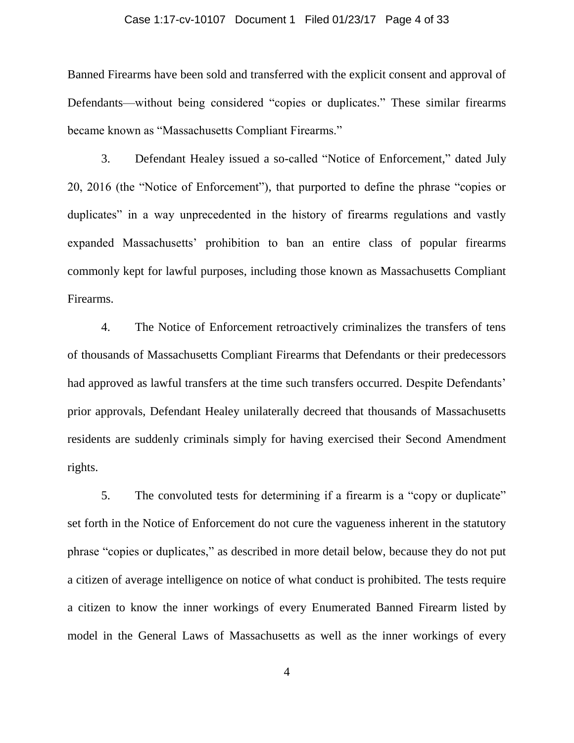## Case 1:17-cv-10107 Document 1 Filed 01/23/17 Page 4 of 33

Banned Firearms have been sold and transferred with the explicit consent and approval of Defendants—without being considered "copies or duplicates." These similar firearms became known as "Massachusetts Compliant Firearms."

3. Defendant Healey issued a so-called "Notice of Enforcement," dated July 20, 2016 (the "Notice of Enforcement"), that purported to define the phrase "copies or duplicates" in a way unprecedented in the history of firearms regulations and vastly expanded Massachusetts' prohibition to ban an entire class of popular firearms commonly kept for lawful purposes, including those known as Massachusetts Compliant Firearms.

4. The Notice of Enforcement retroactively criminalizes the transfers of tens of thousands of Massachusetts Compliant Firearms that Defendants or their predecessors had approved as lawful transfers at the time such transfers occurred. Despite Defendants' prior approvals, Defendant Healey unilaterally decreed that thousands of Massachusetts residents are suddenly criminals simply for having exercised their Second Amendment rights.

5. The convoluted tests for determining if a firearm is a "copy or duplicate" set forth in the Notice of Enforcement do not cure the vagueness inherent in the statutory phrase "copies or duplicates," as described in more detail below, because they do not put a citizen of average intelligence on notice of what conduct is prohibited. The tests require a citizen to know the inner workings of every Enumerated Banned Firearm listed by model in the General Laws of Massachusetts as well as the inner workings of every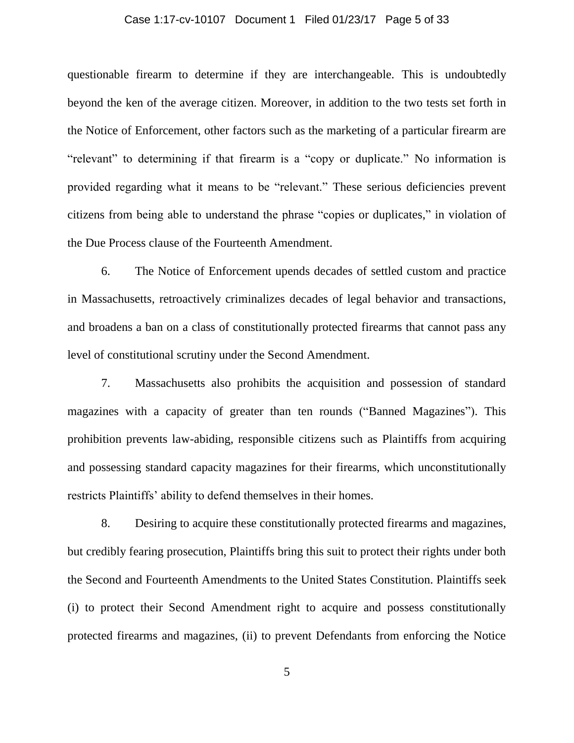## Case 1:17-cv-10107 Document 1 Filed 01/23/17 Page 5 of 33

questionable firearm to determine if they are interchangeable. This is undoubtedly beyond the ken of the average citizen. Moreover, in addition to the two tests set forth in the Notice of Enforcement, other factors such as the marketing of a particular firearm are "relevant" to determining if that firearm is a "copy or duplicate." No information is provided regarding what it means to be "relevant." These serious deficiencies prevent citizens from being able to understand the phrase "copies or duplicates," in violation of the Due Process clause of the Fourteenth Amendment.

6. The Notice of Enforcement upends decades of settled custom and practice in Massachusetts, retroactively criminalizes decades of legal behavior and transactions, and broadens a ban on a class of constitutionally protected firearms that cannot pass any level of constitutional scrutiny under the Second Amendment.

7. Massachusetts also prohibits the acquisition and possession of standard magazines with a capacity of greater than ten rounds ("Banned Magazines"). This prohibition prevents law-abiding, responsible citizens such as Plaintiffs from acquiring and possessing standard capacity magazines for their firearms, which unconstitutionally restricts Plaintiffs' ability to defend themselves in their homes.

8. Desiring to acquire these constitutionally protected firearms and magazines, but credibly fearing prosecution, Plaintiffs bring this suit to protect their rights under both the Second and Fourteenth Amendments to the United States Constitution. Plaintiffs seek (i) to protect their Second Amendment right to acquire and possess constitutionally protected firearms and magazines, (ii) to prevent Defendants from enforcing the Notice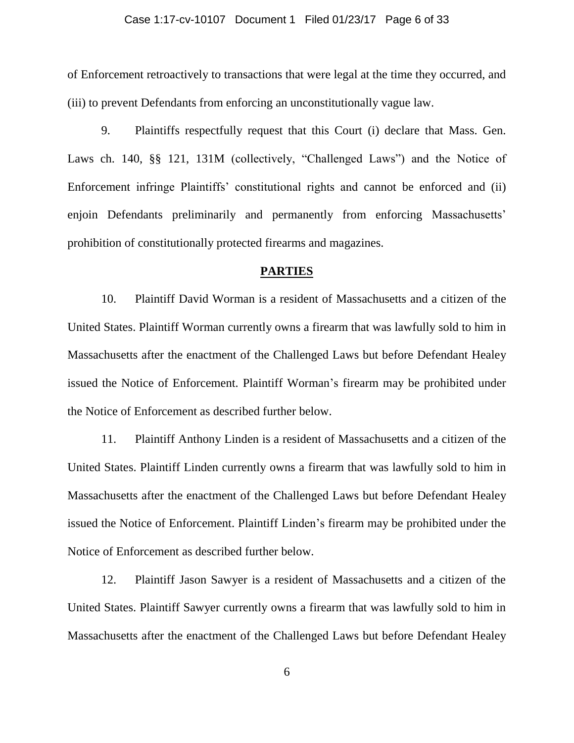## Case 1:17-cv-10107 Document 1 Filed 01/23/17 Page 6 of 33

of Enforcement retroactively to transactions that were legal at the time they occurred, and (iii) to prevent Defendants from enforcing an unconstitutionally vague law.

9. Plaintiffs respectfully request that this Court (i) declare that Mass. Gen. Laws ch. 140, §§ 121, 131M (collectively, "Challenged Laws") and the Notice of Enforcement infringe Plaintiffs' constitutional rights and cannot be enforced and (ii) enjoin Defendants preliminarily and permanently from enforcing Massachusetts' prohibition of constitutionally protected firearms and magazines.

## **PARTIES**

10. Plaintiff David Worman is a resident of Massachusetts and a citizen of the United States. Plaintiff Worman currently owns a firearm that was lawfully sold to him in Massachusetts after the enactment of the Challenged Laws but before Defendant Healey issued the Notice of Enforcement. Plaintiff Worman's firearm may be prohibited under the Notice of Enforcement as described further below.

11. Plaintiff Anthony Linden is a resident of Massachusetts and a citizen of the United States. Plaintiff Linden currently owns a firearm that was lawfully sold to him in Massachusetts after the enactment of the Challenged Laws but before Defendant Healey issued the Notice of Enforcement. Plaintiff Linden's firearm may be prohibited under the Notice of Enforcement as described further below.

12. Plaintiff Jason Sawyer is a resident of Massachusetts and a citizen of the United States. Plaintiff Sawyer currently owns a firearm that was lawfully sold to him in Massachusetts after the enactment of the Challenged Laws but before Defendant Healey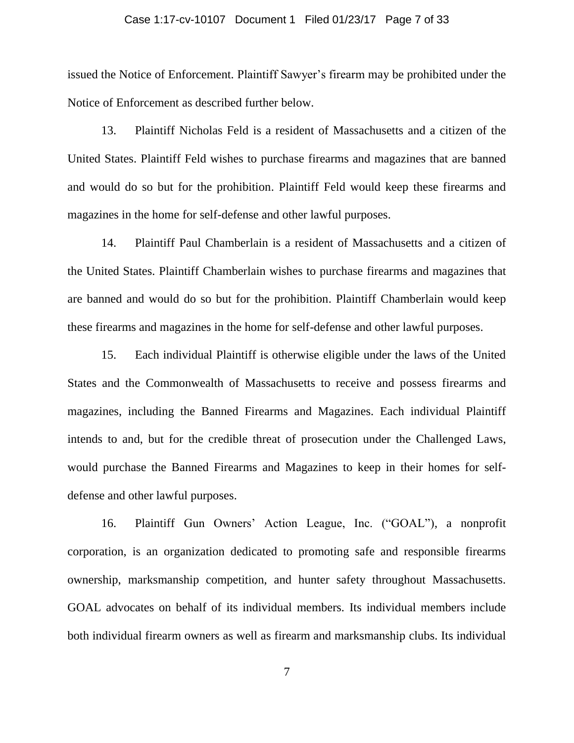## Case 1:17-cv-10107 Document 1 Filed 01/23/17 Page 7 of 33

issued the Notice of Enforcement. Plaintiff Sawyer's firearm may be prohibited under the Notice of Enforcement as described further below.

13. Plaintiff Nicholas Feld is a resident of Massachusetts and a citizen of the United States. Plaintiff Feld wishes to purchase firearms and magazines that are banned and would do so but for the prohibition. Plaintiff Feld would keep these firearms and magazines in the home for self-defense and other lawful purposes.

14. Plaintiff Paul Chamberlain is a resident of Massachusetts and a citizen of the United States. Plaintiff Chamberlain wishes to purchase firearms and magazines that are banned and would do so but for the prohibition. Plaintiff Chamberlain would keep these firearms and magazines in the home for self-defense and other lawful purposes.

15. Each individual Plaintiff is otherwise eligible under the laws of the United States and the Commonwealth of Massachusetts to receive and possess firearms and magazines, including the Banned Firearms and Magazines. Each individual Plaintiff intends to and, but for the credible threat of prosecution under the Challenged Laws, would purchase the Banned Firearms and Magazines to keep in their homes for selfdefense and other lawful purposes.

16. Plaintiff Gun Owners' Action League, Inc. ("GOAL"), a nonprofit corporation, is an organization dedicated to promoting safe and responsible firearms ownership, marksmanship competition, and hunter safety throughout Massachusetts. GOAL advocates on behalf of its individual members. Its individual members include both individual firearm owners as well as firearm and marksmanship clubs. Its individual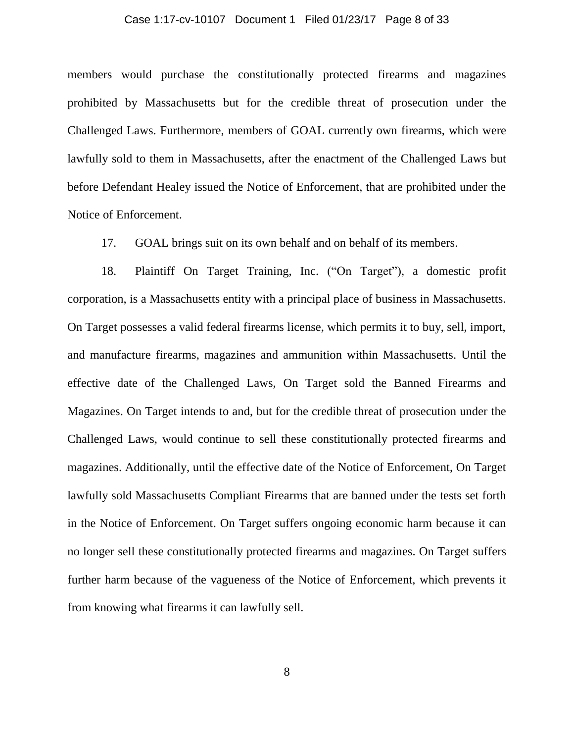## Case 1:17-cv-10107 Document 1 Filed 01/23/17 Page 8 of 33

members would purchase the constitutionally protected firearms and magazines prohibited by Massachusetts but for the credible threat of prosecution under the Challenged Laws. Furthermore, members of GOAL currently own firearms, which were lawfully sold to them in Massachusetts, after the enactment of the Challenged Laws but before Defendant Healey issued the Notice of Enforcement, that are prohibited under the Notice of Enforcement.

17. GOAL brings suit on its own behalf and on behalf of its members.

18. Plaintiff On Target Training, Inc. ("On Target"), a domestic profit corporation, is a Massachusetts entity with a principal place of business in Massachusetts. On Target possesses a valid federal firearms license, which permits it to buy, sell, import, and manufacture firearms, magazines and ammunition within Massachusetts. Until the effective date of the Challenged Laws, On Target sold the Banned Firearms and Magazines. On Target intends to and, but for the credible threat of prosecution under the Challenged Laws, would continue to sell these constitutionally protected firearms and magazines. Additionally, until the effective date of the Notice of Enforcement, On Target lawfully sold Massachusetts Compliant Firearms that are banned under the tests set forth in the Notice of Enforcement. On Target suffers ongoing economic harm because it can no longer sell these constitutionally protected firearms and magazines. On Target suffers further harm because of the vagueness of the Notice of Enforcement, which prevents it from knowing what firearms it can lawfully sell.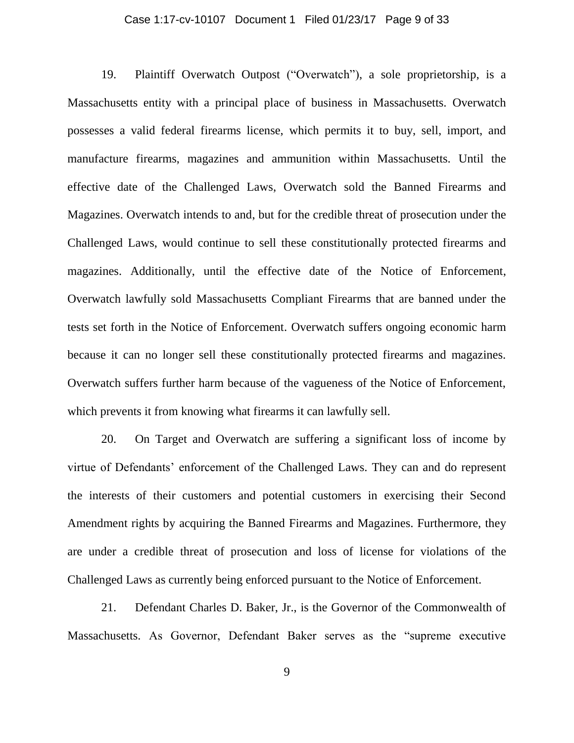## Case 1:17-cv-10107 Document 1 Filed 01/23/17 Page 9 of 33

19. Plaintiff Overwatch Outpost ("Overwatch"), a sole proprietorship, is a Massachusetts entity with a principal place of business in Massachusetts. Overwatch possesses a valid federal firearms license, which permits it to buy, sell, import, and manufacture firearms, magazines and ammunition within Massachusetts. Until the effective date of the Challenged Laws, Overwatch sold the Banned Firearms and Magazines. Overwatch intends to and, but for the credible threat of prosecution under the Challenged Laws, would continue to sell these constitutionally protected firearms and magazines. Additionally, until the effective date of the Notice of Enforcement, Overwatch lawfully sold Massachusetts Compliant Firearms that are banned under the tests set forth in the Notice of Enforcement. Overwatch suffers ongoing economic harm because it can no longer sell these constitutionally protected firearms and magazines. Overwatch suffers further harm because of the vagueness of the Notice of Enforcement, which prevents it from knowing what firearms it can lawfully sell.

20. On Target and Overwatch are suffering a significant loss of income by virtue of Defendants' enforcement of the Challenged Laws. They can and do represent the interests of their customers and potential customers in exercising their Second Amendment rights by acquiring the Banned Firearms and Magazines. Furthermore, they are under a credible threat of prosecution and loss of license for violations of the Challenged Laws as currently being enforced pursuant to the Notice of Enforcement.

21. Defendant Charles D. Baker, Jr., is the Governor of the Commonwealth of Massachusetts. As Governor, Defendant Baker serves as the "supreme executive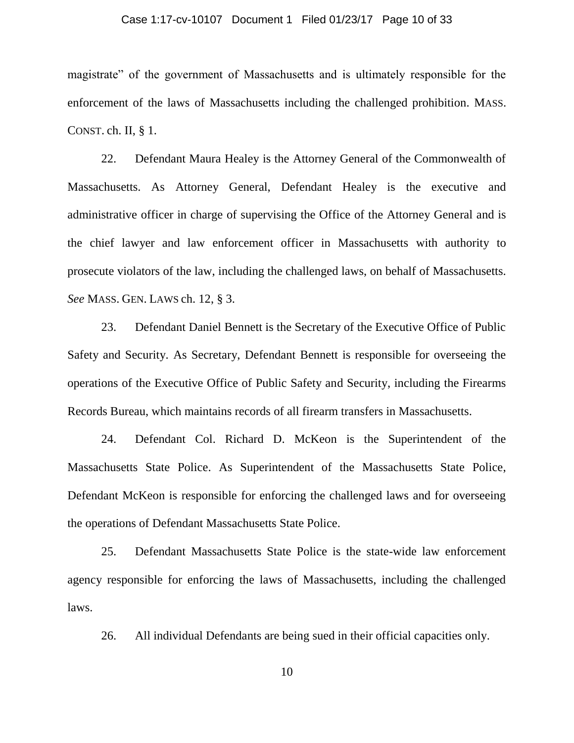## Case 1:17-cv-10107 Document 1 Filed 01/23/17 Page 10 of 33

magistrate" of the government of Massachusetts and is ultimately responsible for the enforcement of the laws of Massachusetts including the challenged prohibition. MASS. CONST. ch. II, § 1.

22. Defendant Maura Healey is the Attorney General of the Commonwealth of Massachusetts. As Attorney General, Defendant Healey is the executive and administrative officer in charge of supervising the Office of the Attorney General and is the chief lawyer and law enforcement officer in Massachusetts with authority to prosecute violators of the law, including the challenged laws, on behalf of Massachusetts. *See* MASS. GEN. LAWS ch. 12, § 3.

23. Defendant Daniel Bennett is the Secretary of the Executive Office of Public Safety and Security. As Secretary, Defendant Bennett is responsible for overseeing the operations of the Executive Office of Public Safety and Security, including the Firearms Records Bureau, which maintains records of all firearm transfers in Massachusetts.

24. Defendant Col. Richard D. McKeon is the Superintendent of the Massachusetts State Police. As Superintendent of the Massachusetts State Police, Defendant McKeon is responsible for enforcing the challenged laws and for overseeing the operations of Defendant Massachusetts State Police.

25. Defendant Massachusetts State Police is the state-wide law enforcement agency responsible for enforcing the laws of Massachusetts, including the challenged laws.

26. All individual Defendants are being sued in their official capacities only.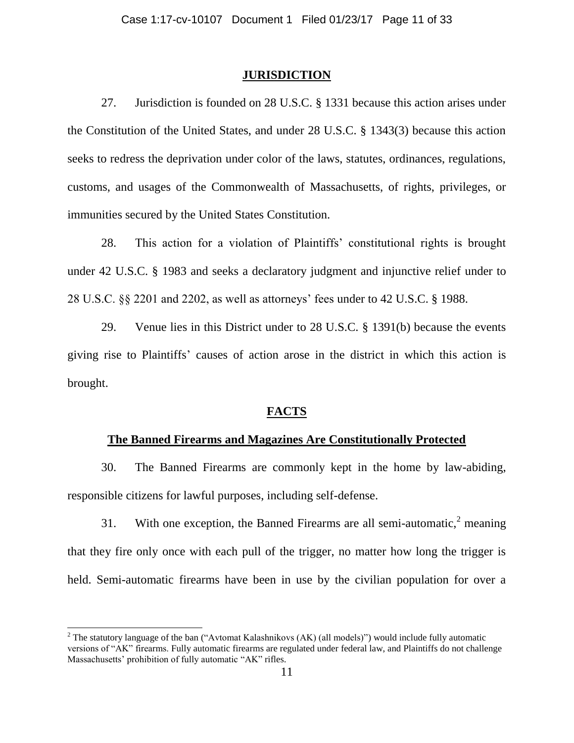## **JURISDICTION**

27. Jurisdiction is founded on 28 U.S.C. § 1331 because this action arises under the Constitution of the United States, and under 28 U.S.C. § 1343(3) because this action seeks to redress the deprivation under color of the laws, statutes, ordinances, regulations, customs, and usages of the Commonwealth of Massachusetts, of rights, privileges, or immunities secured by the United States Constitution.

28. This action for a violation of Plaintiffs' constitutional rights is brought under 42 U.S.C. § 1983 and seeks a declaratory judgment and injunctive relief under to 28 U.S.C. §§ 2201 and 2202, as well as attorneys' fees under to 42 U.S.C. § 1988.

29. Venue lies in this District under to 28 U.S.C. § 1391(b) because the events giving rise to Plaintiffs' causes of action arose in the district in which this action is brought.

## **FACTS**

## **The Banned Firearms and Magazines Are Constitutionally Protected**

30. The Banned Firearms are commonly kept in the home by law-abiding, responsible citizens for lawful purposes, including self-defense.

31. With one exception, the Banned Firearms are all semi-automatic, $\alpha^2$  meaning that they fire only once with each pull of the trigger, no matter how long the trigger is held. Semi-automatic firearms have been in use by the civilian population for over a

 $\overline{\phantom{a}}$ 

<sup>&</sup>lt;sup>2</sup> The statutory language of the ban ("Avtomat Kalashnikovs  $(AK)$  (all models)") would include fully automatic versions of "AK" firearms. Fully automatic firearms are regulated under federal law, and Plaintiffs do not challenge Massachusetts' prohibition of fully automatic "AK" rifles.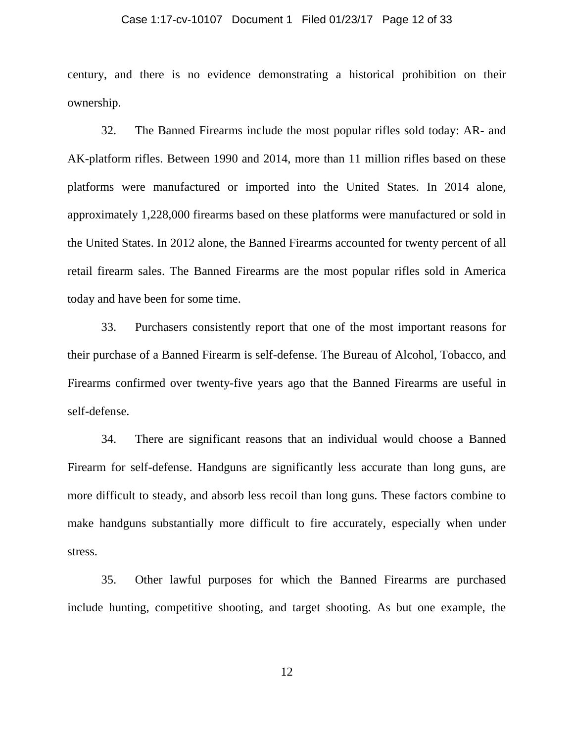## Case 1:17-cv-10107 Document 1 Filed 01/23/17 Page 12 of 33

century, and there is no evidence demonstrating a historical prohibition on their ownership.

32. The Banned Firearms include the most popular rifles sold today: AR- and AK-platform rifles. Between 1990 and 2014, more than 11 million rifles based on these platforms were manufactured or imported into the United States. In 2014 alone, approximately 1,228,000 firearms based on these platforms were manufactured or sold in the United States. In 2012 alone, the Banned Firearms accounted for twenty percent of all retail firearm sales. The Banned Firearms are the most popular rifles sold in America today and have been for some time.

33. Purchasers consistently report that one of the most important reasons for their purchase of a Banned Firearm is self-defense. The Bureau of Alcohol, Tobacco, and Firearms confirmed over twenty-five years ago that the Banned Firearms are useful in self-defense.

34. There are significant reasons that an individual would choose a Banned Firearm for self-defense. Handguns are significantly less accurate than long guns, are more difficult to steady, and absorb less recoil than long guns. These factors combine to make handguns substantially more difficult to fire accurately, especially when under stress.

35. Other lawful purposes for which the Banned Firearms are purchased include hunting, competitive shooting, and target shooting. As but one example, the

12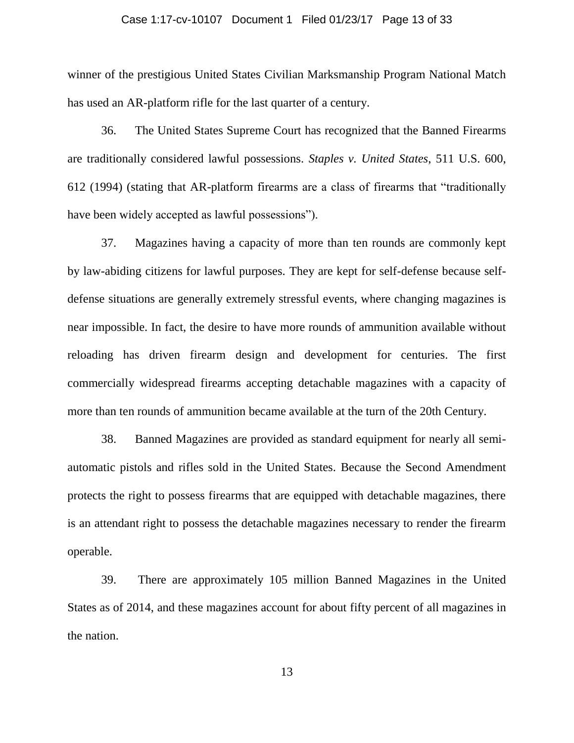## Case 1:17-cv-10107 Document 1 Filed 01/23/17 Page 13 of 33

winner of the prestigious United States Civilian Marksmanship Program National Match has used an AR-platform rifle for the last quarter of a century.

36. The United States Supreme Court has recognized that the Banned Firearms are traditionally considered lawful possessions. *Staples v. United States*, 511 U.S. 600, 612 (1994) (stating that AR-platform firearms are a class of firearms that "traditionally have been widely accepted as lawful possessions").

37. Magazines having a capacity of more than ten rounds are commonly kept by law-abiding citizens for lawful purposes. They are kept for self-defense because selfdefense situations are generally extremely stressful events, where changing magazines is near impossible. In fact, the desire to have more rounds of ammunition available without reloading has driven firearm design and development for centuries. The first commercially widespread firearms accepting detachable magazines with a capacity of more than ten rounds of ammunition became available at the turn of the 20th Century.

38. Banned Magazines are provided as standard equipment for nearly all semiautomatic pistols and rifles sold in the United States. Because the Second Amendment protects the right to possess firearms that are equipped with detachable magazines, there is an attendant right to possess the detachable magazines necessary to render the firearm operable.

39. There are approximately 105 million Banned Magazines in the United States as of 2014, and these magazines account for about fifty percent of all magazines in the nation.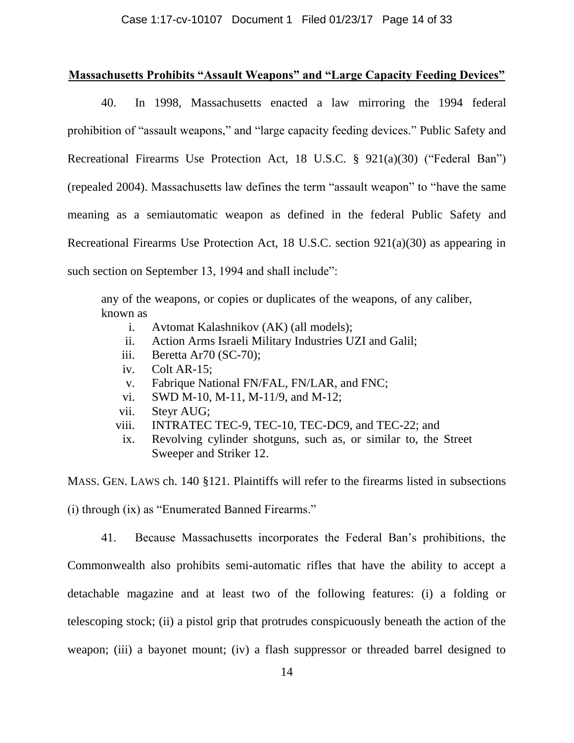## **Massachusetts Prohibits "Assault Weapons" and "Large Capacity Feeding Devices"**

40. In 1998, Massachusetts enacted a law mirroring the 1994 federal prohibition of "assault weapons," and "large capacity feeding devices." Public Safety and Recreational Firearms Use Protection Act, 18 U.S.C. § 921(a)(30) ("Federal Ban") (repealed 2004). Massachusetts law defines the term "assault weapon" to "have the same meaning as a semiautomatic weapon as defined in the federal Public Safety and Recreational Firearms Use Protection Act, 18 U.S.C. section 921(a)(30) as appearing in such section on September 13, 1994 and shall include":

any of the weapons, or copies or duplicates of the weapons, of any caliber, known as

- i. Avtomat Kalashnikov (AK) (all models);
- ii. Action Arms Israeli Military Industries UZI and Galil;
- iii. Beretta Ar70 (SC-70);
- iv. Colt AR-15;
- v. Fabrique National FN/FAL, FN/LAR, and FNC;
- vi. SWD M-10, M-11, M-11/9, and M-12;
- vii. Steyr AUG;
- viii. INTRATEC TEC-9, TEC-10, TEC-DC9, and TEC-22; and
- ix. Revolving cylinder shotguns, such as, or similar to, the Street Sweeper and Striker 12.

MASS. GEN. LAWS ch. 140 §121. Plaintiffs will refer to the firearms listed in subsections (i) through (ix) as "Enumerated Banned Firearms."

41. Because Massachusetts incorporates the Federal Ban's prohibitions, the Commonwealth also prohibits semi-automatic rifles that have the ability to accept a detachable magazine and at least two of the following features: (i) a folding or telescoping stock; (ii) a pistol grip that protrudes conspicuously beneath the action of the weapon; (iii) a bayonet mount; (iv) a flash suppressor or threaded barrel designed to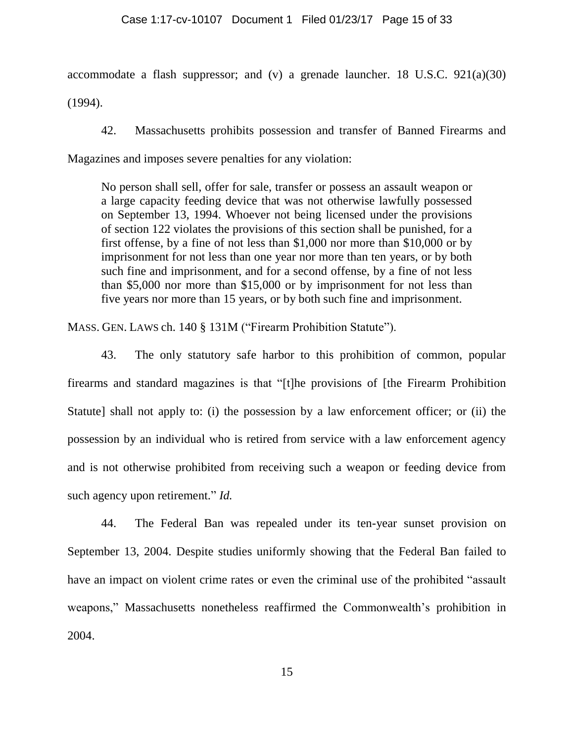accommodate a flash suppressor; and (v) a grenade launcher. 18 U.S.C. 921(a)(30) (1994).

42. Massachusetts prohibits possession and transfer of Banned Firearms and Magazines and imposes severe penalties for any violation:

No person shall sell, offer for sale, transfer or possess an assault weapon or a large capacity feeding device that was not otherwise lawfully possessed on September 13, 1994. Whoever not being licensed under the provisions of section 122 violates the provisions of this section shall be punished, for a first offense, by a fine of not less than \$1,000 nor more than \$10,000 or by imprisonment for not less than one year nor more than ten years, or by both such fine and imprisonment, and for a second offense, by a fine of not less than \$5,000 nor more than \$15,000 or by imprisonment for not less than five years nor more than 15 years, or by both such fine and imprisonment.

MASS. GEN. LAWS ch. 140 § 131M ("Firearm Prohibition Statute").

43. The only statutory safe harbor to this prohibition of common, popular firearms and standard magazines is that "[t]he provisions of [the Firearm Prohibition Statute] shall not apply to: (i) the possession by a law enforcement officer; or (ii) the possession by an individual who is retired from service with a law enforcement agency and is not otherwise prohibited from receiving such a weapon or feeding device from such agency upon retirement." *Id.*

44. The Federal Ban was repealed under its ten-year sunset provision on September 13, 2004. Despite studies uniformly showing that the Federal Ban failed to have an impact on violent crime rates or even the criminal use of the prohibited "assault weapons," Massachusetts nonetheless reaffirmed the Commonwealth's prohibition in 2004.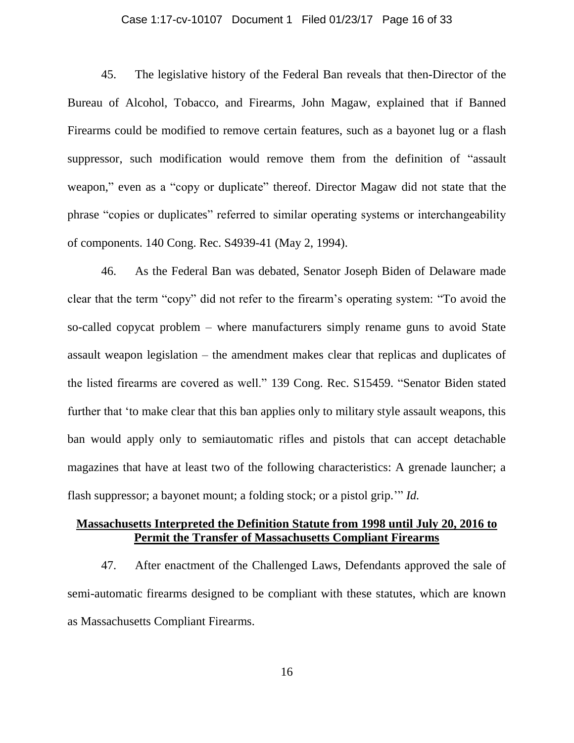## Case 1:17-cv-10107 Document 1 Filed 01/23/17 Page 16 of 33

45. The legislative history of the Federal Ban reveals that then-Director of the Bureau of Alcohol, Tobacco, and Firearms, John Magaw, explained that if Banned Firearms could be modified to remove certain features, such as a bayonet lug or a flash suppressor, such modification would remove them from the definition of "assault weapon," even as a "copy or duplicate" thereof. Director Magaw did not state that the phrase "copies or duplicates" referred to similar operating systems or interchangeability of components. 140 Cong. Rec. S4939-41 (May 2, 1994).

46. As the Federal Ban was debated, Senator Joseph Biden of Delaware made clear that the term "copy" did not refer to the firearm's operating system: "To avoid the so-called copycat problem – where manufacturers simply rename guns to avoid State assault weapon legislation – the amendment makes clear that replicas and duplicates of the listed firearms are covered as well." 139 Cong. Rec. S15459. "Senator Biden stated further that 'to make clear that this ban applies only to military style assault weapons, this ban would apply only to semiautomatic rifles and pistols that can accept detachable magazines that have at least two of the following characteristics: A grenade launcher; a flash suppressor; a bayonet mount; a folding stock; or a pistol grip.'" *Id.*

## **Massachusetts Interpreted the Definition Statute from 1998 until July 20, 2016 to Permit the Transfer of Massachusetts Compliant Firearms**

47. After enactment of the Challenged Laws, Defendants approved the sale of semi-automatic firearms designed to be compliant with these statutes, which are known as Massachusetts Compliant Firearms.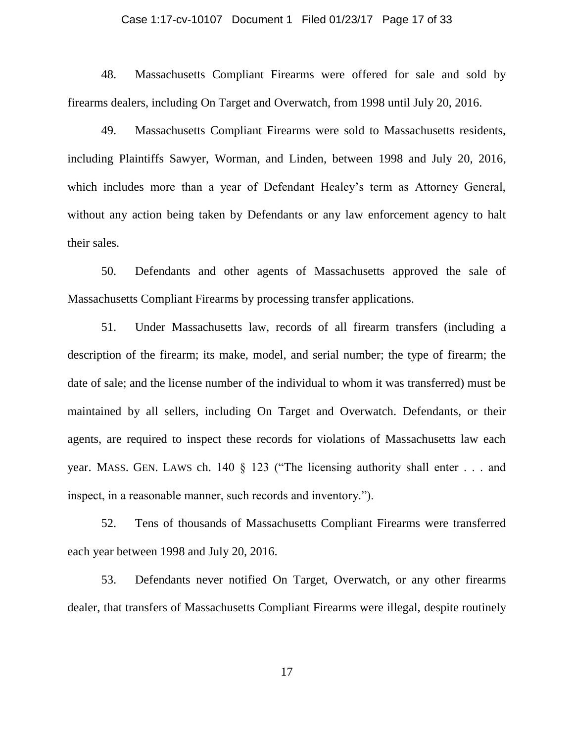## Case 1:17-cv-10107 Document 1 Filed 01/23/17 Page 17 of 33

48. Massachusetts Compliant Firearms were offered for sale and sold by firearms dealers, including On Target and Overwatch, from 1998 until July 20, 2016.

49. Massachusetts Compliant Firearms were sold to Massachusetts residents, including Plaintiffs Sawyer, Worman, and Linden, between 1998 and July 20, 2016, which includes more than a year of Defendant Healey's term as Attorney General, without any action being taken by Defendants or any law enforcement agency to halt their sales.

50. Defendants and other agents of Massachusetts approved the sale of Massachusetts Compliant Firearms by processing transfer applications.

51. Under Massachusetts law, records of all firearm transfers (including a description of the firearm; its make, model, and serial number; the type of firearm; the date of sale; and the license number of the individual to whom it was transferred) must be maintained by all sellers, including On Target and Overwatch. Defendants, or their agents, are required to inspect these records for violations of Massachusetts law each year. MASS. GEN. LAWS ch. 140 § 123 ("The licensing authority shall enter . . . and inspect, in a reasonable manner, such records and inventory.").

52. Tens of thousands of Massachusetts Compliant Firearms were transferred each year between 1998 and July 20, 2016.

53. Defendants never notified On Target, Overwatch, or any other firearms dealer, that transfers of Massachusetts Compliant Firearms were illegal, despite routinely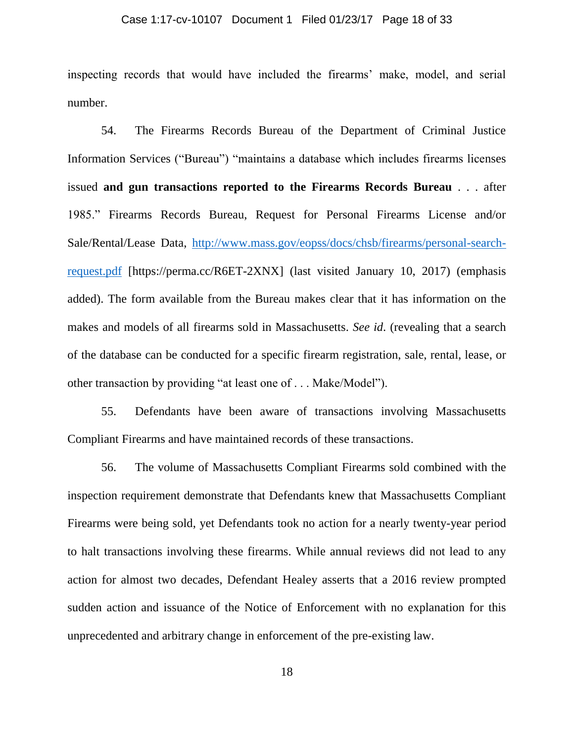#### Case 1:17-cv-10107 Document 1 Filed 01/23/17 Page 18 of 33

inspecting records that would have included the firearms' make, model, and serial number.

54. The Firearms Records Bureau of the Department of Criminal Justice Information Services ("Bureau") "maintains a database which includes firearms licenses issued **and gun transactions reported to the Firearms Records Bureau** . . . after 1985." Firearms Records Bureau, Request for Personal Firearms License and/or Sale/Rental/Lease Data, [http://www.mass.gov/eopss/docs/chsb/firearms/personal-search](www.mass.gov/eopss/docs/chsb/firearms/personal-search-request.pdf)[request.pdf](www.mass.gov/eopss/docs/chsb/firearms/personal-search-request.pdf) [https://perma.cc/R6ET-2XNX] (last visited January 10, 2017) (emphasis added). The form available from the Bureau makes clear that it has information on the makes and models of all firearms sold in Massachusetts. *See id*. (revealing that a search of the database can be conducted for a specific firearm registration, sale, rental, lease, or other transaction by providing "at least one of . . . Make/Model").

55. Defendants have been aware of transactions involving Massachusetts Compliant Firearms and have maintained records of these transactions.

56. The volume of Massachusetts Compliant Firearms sold combined with the inspection requirement demonstrate that Defendants knew that Massachusetts Compliant Firearms were being sold, yet Defendants took no action for a nearly twenty-year period to halt transactions involving these firearms. While annual reviews did not lead to any action for almost two decades, Defendant Healey asserts that a 2016 review prompted sudden action and issuance of the Notice of Enforcement with no explanation for this unprecedented and arbitrary change in enforcement of the pre-existing law.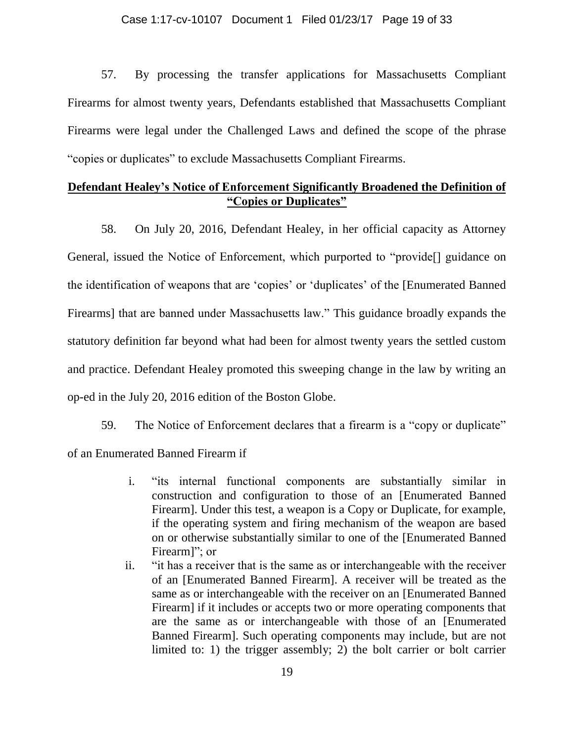## Case 1:17-cv-10107 Document 1 Filed 01/23/17 Page 19 of 33

57. By processing the transfer applications for Massachusetts Compliant Firearms for almost twenty years, Defendants established that Massachusetts Compliant Firearms were legal under the Challenged Laws and defined the scope of the phrase "copies or duplicates" to exclude Massachusetts Compliant Firearms.

## **Defendant Healey's Notice of Enforcement Significantly Broadened the Definition of "Copies or Duplicates"**

58. On July 20, 2016, Defendant Healey, in her official capacity as Attorney General, issued the Notice of Enforcement, which purported to "provide[] guidance on the identification of weapons that are 'copies' or 'duplicates' of the [Enumerated Banned Firearms] that are banned under Massachusetts law." This guidance broadly expands the statutory definition far beyond what had been for almost twenty years the settled custom and practice. Defendant Healey promoted this sweeping change in the law by writing an op-ed in the July 20, 2016 edition of the Boston Globe.

59. The Notice of Enforcement declares that a firearm is a "copy or duplicate" of an Enumerated Banned Firearm if

- i. "its internal functional components are substantially similar in construction and configuration to those of an [Enumerated Banned Firearm]. Under this test, a weapon is a Copy or Duplicate, for example, if the operating system and firing mechanism of the weapon are based on or otherwise substantially similar to one of the [Enumerated Banned Firearm]"; or
- ii. "it has a receiver that is the same as or interchangeable with the receiver of an [Enumerated Banned Firearm]. A receiver will be treated as the same as or interchangeable with the receiver on an [Enumerated Banned Firearm] if it includes or accepts two or more operating components that are the same as or interchangeable with those of an [Enumerated Banned Firearm]. Such operating components may include, but are not limited to: 1) the trigger assembly; 2) the bolt carrier or bolt carrier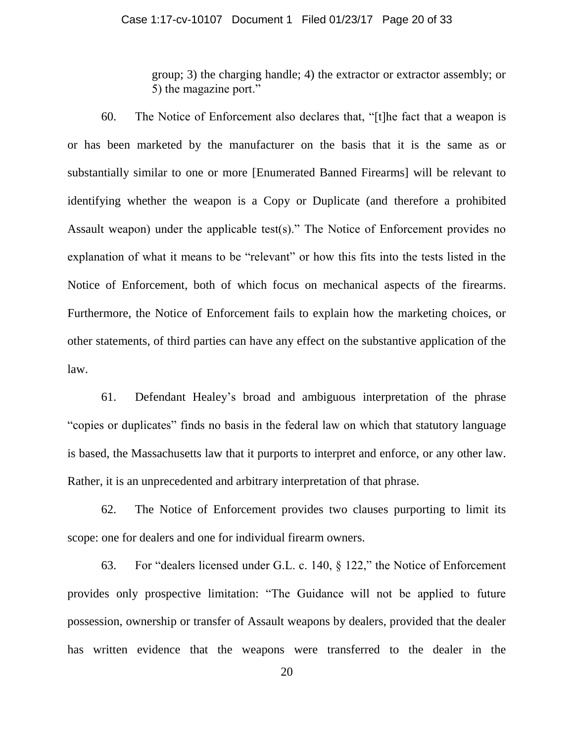group; 3) the charging handle; 4) the extractor or extractor assembly; or 5) the magazine port."

60. The Notice of Enforcement also declares that, "[t]he fact that a weapon is or has been marketed by the manufacturer on the basis that it is the same as or substantially similar to one or more [Enumerated Banned Firearms] will be relevant to identifying whether the weapon is a Copy or Duplicate (and therefore a prohibited Assault weapon) under the applicable test(s)." The Notice of Enforcement provides no explanation of what it means to be "relevant" or how this fits into the tests listed in the Notice of Enforcement, both of which focus on mechanical aspects of the firearms. Furthermore, the Notice of Enforcement fails to explain how the marketing choices, or other statements, of third parties can have any effect on the substantive application of the law.

61. Defendant Healey's broad and ambiguous interpretation of the phrase "copies or duplicates" finds no basis in the federal law on which that statutory language is based, the Massachusetts law that it purports to interpret and enforce, or any other law. Rather, it is an unprecedented and arbitrary interpretation of that phrase.

62. The Notice of Enforcement provides two clauses purporting to limit its scope: one for dealers and one for individual firearm owners.

63. For "dealers licensed under G.L. c. 140, § 122," the Notice of Enforcement provides only prospective limitation: "The Guidance will not be applied to future possession, ownership or transfer of Assault weapons by dealers, provided that the dealer has written evidence that the weapons were transferred to the dealer in the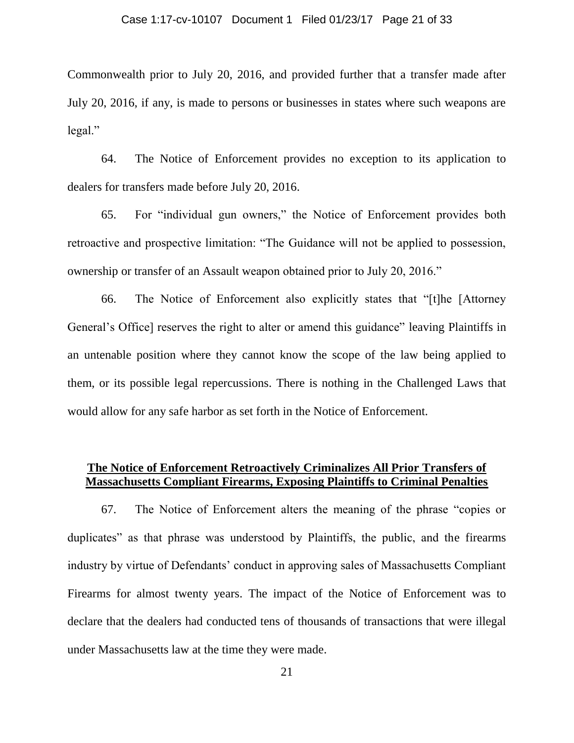## Case 1:17-cv-10107 Document 1 Filed 01/23/17 Page 21 of 33

Commonwealth prior to July 20, 2016, and provided further that a transfer made after July 20, 2016, if any, is made to persons or businesses in states where such weapons are legal."

64. The Notice of Enforcement provides no exception to its application to dealers for transfers made before July 20, 2016.

65. For "individual gun owners," the Notice of Enforcement provides both retroactive and prospective limitation: "The Guidance will not be applied to possession, ownership or transfer of an Assault weapon obtained prior to July 20, 2016."

66. The Notice of Enforcement also explicitly states that "[t]he [Attorney General's Office] reserves the right to alter or amend this guidance" leaving Plaintiffs in an untenable position where they cannot know the scope of the law being applied to them, or its possible legal repercussions. There is nothing in the Challenged Laws that would allow for any safe harbor as set forth in the Notice of Enforcement.

## **The Notice of Enforcement Retroactively Criminalizes All Prior Transfers of Massachusetts Compliant Firearms, Exposing Plaintiffs to Criminal Penalties**

67. The Notice of Enforcement alters the meaning of the phrase "copies or duplicates" as that phrase was understood by Plaintiffs, the public, and the firearms industry by virtue of Defendants' conduct in approving sales of Massachusetts Compliant Firearms for almost twenty years. The impact of the Notice of Enforcement was to declare that the dealers had conducted tens of thousands of transactions that were illegal under Massachusetts law at the time they were made.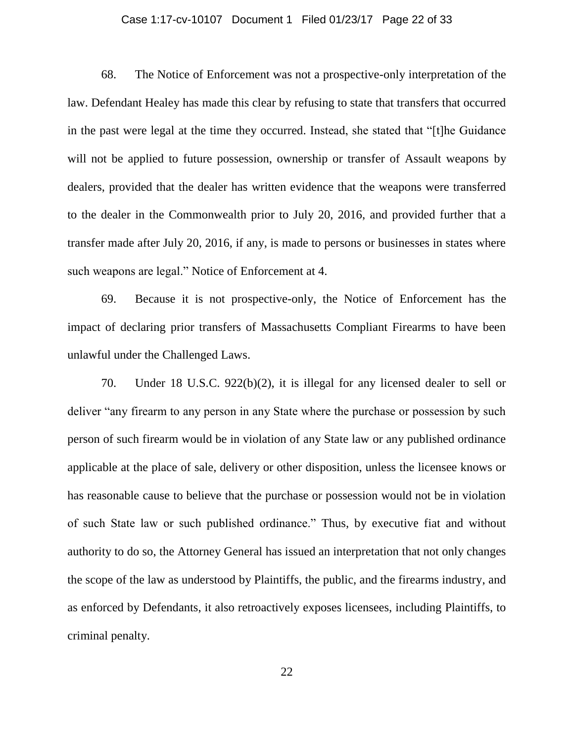## Case 1:17-cv-10107 Document 1 Filed 01/23/17 Page 22 of 33

68. The Notice of Enforcement was not a prospective-only interpretation of the law. Defendant Healey has made this clear by refusing to state that transfers that occurred in the past were legal at the time they occurred. Instead, she stated that "[t]he Guidance will not be applied to future possession, ownership or transfer of Assault weapons by dealers, provided that the dealer has written evidence that the weapons were transferred to the dealer in the Commonwealth prior to July 20, 2016, and provided further that a transfer made after July 20, 2016, if any, is made to persons or businesses in states where such weapons are legal." Notice of Enforcement at 4.

69. Because it is not prospective-only, the Notice of Enforcement has the impact of declaring prior transfers of Massachusetts Compliant Firearms to have been unlawful under the Challenged Laws.

70. Under 18 U.S.C. 922(b)(2), it is illegal for any licensed dealer to sell or deliver "any firearm to any person in any State where the purchase or possession by such person of such firearm would be in violation of any State law or any published ordinance applicable at the place of sale, delivery or other disposition, unless the licensee knows or has reasonable cause to believe that the purchase or possession would not be in violation of such State law or such published ordinance." Thus, by executive fiat and without authority to do so, the Attorney General has issued an interpretation that not only changes the scope of the law as understood by Plaintiffs, the public, and the firearms industry, and as enforced by Defendants, it also retroactively exposes licensees, including Plaintiffs, to criminal penalty.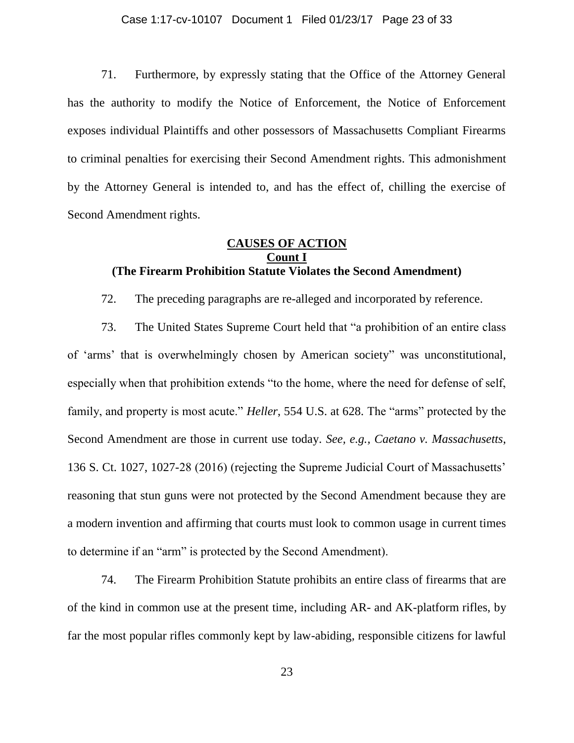## Case 1:17-cv-10107 Document 1 Filed 01/23/17 Page 23 of 33

71. Furthermore, by expressly stating that the Office of the Attorney General has the authority to modify the Notice of Enforcement, the Notice of Enforcement exposes individual Plaintiffs and other possessors of Massachusetts Compliant Firearms to criminal penalties for exercising their Second Amendment rights. This admonishment by the Attorney General is intended to, and has the effect of, chilling the exercise of Second Amendment rights.

## **CAUSES OF ACTION Count I (The Firearm Prohibition Statute Violates the Second Amendment)**

72. The preceding paragraphs are re-alleged and incorporated by reference.

73. The United States Supreme Court held that "a prohibition of an entire class of 'arms' that is overwhelmingly chosen by American society" was unconstitutional, especially when that prohibition extends "to the home, where the need for defense of self, family, and property is most acute." *Heller*, 554 U.S. at 628. The "arms" protected by the Second Amendment are those in current use today. *See, e.g., Caetano v. Massachusetts*, 136 S. Ct. 1027, 1027-28 (2016) (rejecting the Supreme Judicial Court of Massachusetts' reasoning that stun guns were not protected by the Second Amendment because they are a modern invention and affirming that courts must look to common usage in current times to determine if an "arm" is protected by the Second Amendment).

74. The Firearm Prohibition Statute prohibits an entire class of firearms that are of the kind in common use at the present time, including AR- and AK-platform rifles, by far the most popular rifles commonly kept by law-abiding, responsible citizens for lawful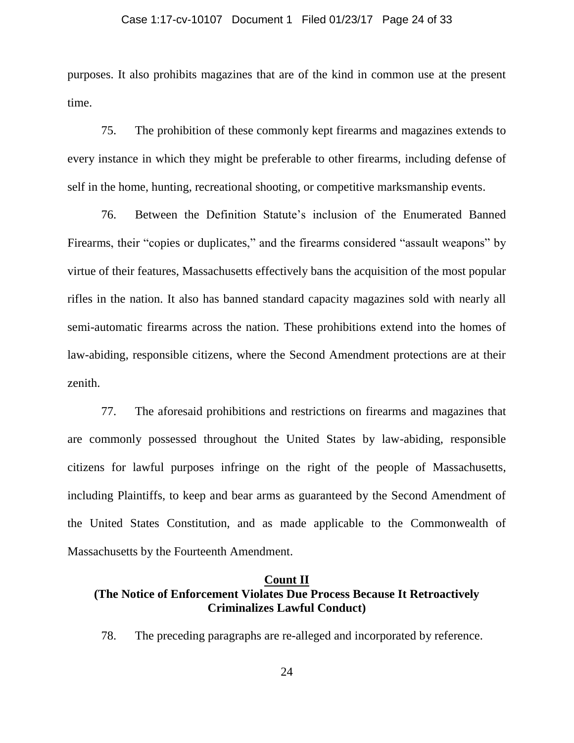## Case 1:17-cv-10107 Document 1 Filed 01/23/17 Page 24 of 33

purposes. It also prohibits magazines that are of the kind in common use at the present time.

75. The prohibition of these commonly kept firearms and magazines extends to every instance in which they might be preferable to other firearms, including defense of self in the home, hunting, recreational shooting, or competitive marksmanship events.

76. Between the Definition Statute's inclusion of the Enumerated Banned Firearms, their "copies or duplicates," and the firearms considered "assault weapons" by virtue of their features, Massachusetts effectively bans the acquisition of the most popular rifles in the nation. It also has banned standard capacity magazines sold with nearly all semi-automatic firearms across the nation. These prohibitions extend into the homes of law-abiding, responsible citizens, where the Second Amendment protections are at their zenith.

77. The aforesaid prohibitions and restrictions on firearms and magazines that are commonly possessed throughout the United States by law-abiding, responsible citizens for lawful purposes infringe on the right of the people of Massachusetts, including Plaintiffs, to keep and bear arms as guaranteed by the Second Amendment of the United States Constitution, and as made applicable to the Commonwealth of Massachusetts by the Fourteenth Amendment.

#### **Count II**

## **(The Notice of Enforcement Violates Due Process Because It Retroactively Criminalizes Lawful Conduct)**

78. The preceding paragraphs are re-alleged and incorporated by reference.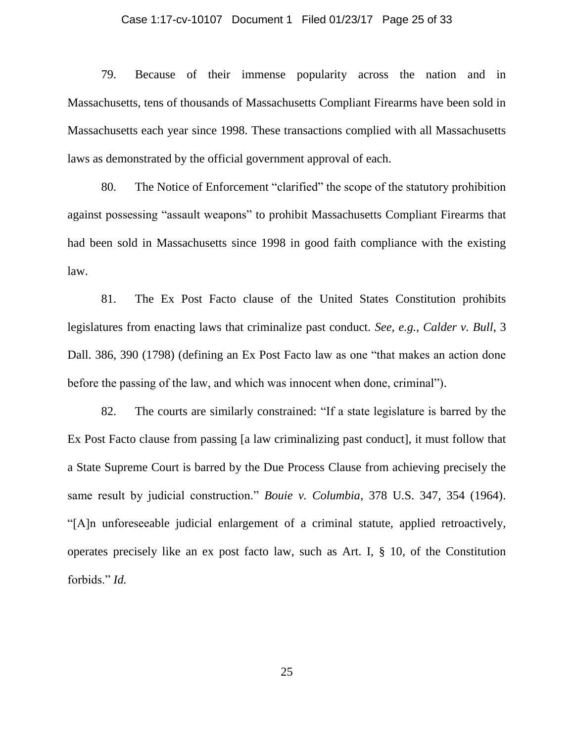## Case 1:17-cv-10107 Document 1 Filed 01/23/17 Page 25 of 33

79. Because of their immense popularity across the nation and in Massachusetts, tens of thousands of Massachusetts Compliant Firearms have been sold in Massachusetts each year since 1998. These transactions complied with all Massachusetts laws as demonstrated by the official government approval of each.

80. The Notice of Enforcement "clarified" the scope of the statutory prohibition against possessing "assault weapons" to prohibit Massachusetts Compliant Firearms that had been sold in Massachusetts since 1998 in good faith compliance with the existing law.

81. The Ex Post Facto clause of the United States Constitution prohibits legislatures from enacting laws that criminalize past conduct. *See, e.g., Calder v. Bull*, 3 Dall. 386, 390 (1798) (defining an Ex Post Facto law as one "that makes an action done before the passing of the law, and which was innocent when done, criminal").

82. The courts are similarly constrained: "If a state legislature is barred by the Ex Post Facto clause from passing [a law criminalizing past conduct], it must follow that a State Supreme Court is barred by the Due Process Clause from achieving precisely the same result by judicial construction." *Bouie v. Columbia*, 378 U.S. 347, 354 (1964). "[A]n unforeseeable judicial enlargement of a criminal statute, applied retroactively, operates precisely like an ex post facto law, such as Art. I, § 10, of the Constitution forbids." *Id.*

25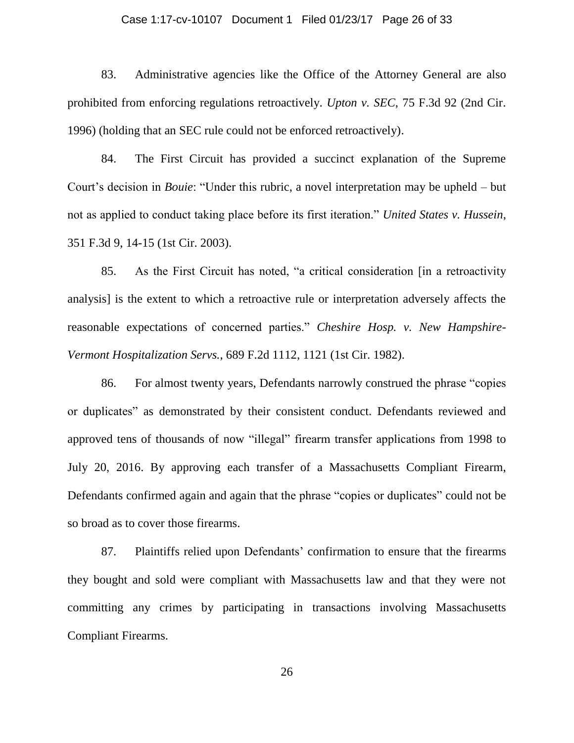## Case 1:17-cv-10107 Document 1 Filed 01/23/17 Page 26 of 33

83. Administrative agencies like the Office of the Attorney General are also prohibited from enforcing regulations retroactively. *Upton v. SEC*, 75 F.3d 92 (2nd Cir. 1996) (holding that an SEC rule could not be enforced retroactively).

84. The First Circuit has provided a succinct explanation of the Supreme Court's decision in *Bouie*: "Under this rubric, a novel interpretation may be upheld – but not as applied to conduct taking place before its first iteration." *United States v. Hussein*, 351 F.3d 9, 14-15 (1st Cir. 2003).

85. As the First Circuit has noted, "a critical consideration [in a retroactivity analysis] is the extent to which a retroactive rule or interpretation adversely affects the reasonable expectations of concerned parties." *Cheshire Hosp. v. New Hampshire-Vermont Hospitalization Servs.*, 689 F.2d 1112, 1121 (1st Cir. 1982).

86. For almost twenty years, Defendants narrowly construed the phrase "copies or duplicates" as demonstrated by their consistent conduct. Defendants reviewed and approved tens of thousands of now "illegal" firearm transfer applications from 1998 to July 20, 2016. By approving each transfer of a Massachusetts Compliant Firearm, Defendants confirmed again and again that the phrase "copies or duplicates" could not be so broad as to cover those firearms.

87. Plaintiffs relied upon Defendants' confirmation to ensure that the firearms they bought and sold were compliant with Massachusetts law and that they were not committing any crimes by participating in transactions involving Massachusetts Compliant Firearms.

26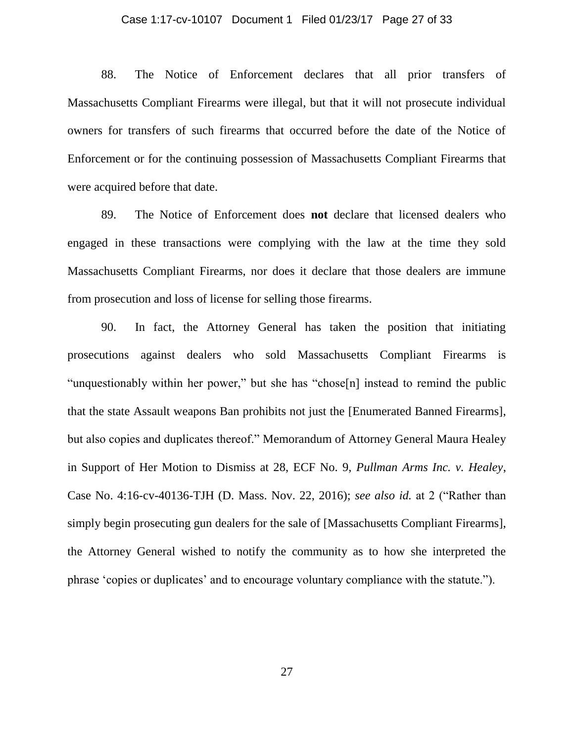## Case 1:17-cv-10107 Document 1 Filed 01/23/17 Page 27 of 33

88. The Notice of Enforcement declares that all prior transfers of Massachusetts Compliant Firearms were illegal, but that it will not prosecute individual owners for transfers of such firearms that occurred before the date of the Notice of Enforcement or for the continuing possession of Massachusetts Compliant Firearms that were acquired before that date.

89. The Notice of Enforcement does **not** declare that licensed dealers who engaged in these transactions were complying with the law at the time they sold Massachusetts Compliant Firearms, nor does it declare that those dealers are immune from prosecution and loss of license for selling those firearms.

90. In fact, the Attorney General has taken the position that initiating prosecutions against dealers who sold Massachusetts Compliant Firearms is "unquestionably within her power," but she has "chose[n] instead to remind the public that the state Assault weapons Ban prohibits not just the [Enumerated Banned Firearms], but also copies and duplicates thereof." Memorandum of Attorney General Maura Healey in Support of Her Motion to Dismiss at 28, ECF No. 9, *Pullman Arms Inc. v. Healey*, Case No. 4:16-cv-40136-TJH (D. Mass. Nov. 22, 2016); *see also id.* at 2 ("Rather than simply begin prosecuting gun dealers for the sale of [Massachusetts Compliant Firearms], the Attorney General wished to notify the community as to how she interpreted the phrase 'copies or duplicates' and to encourage voluntary compliance with the statute.").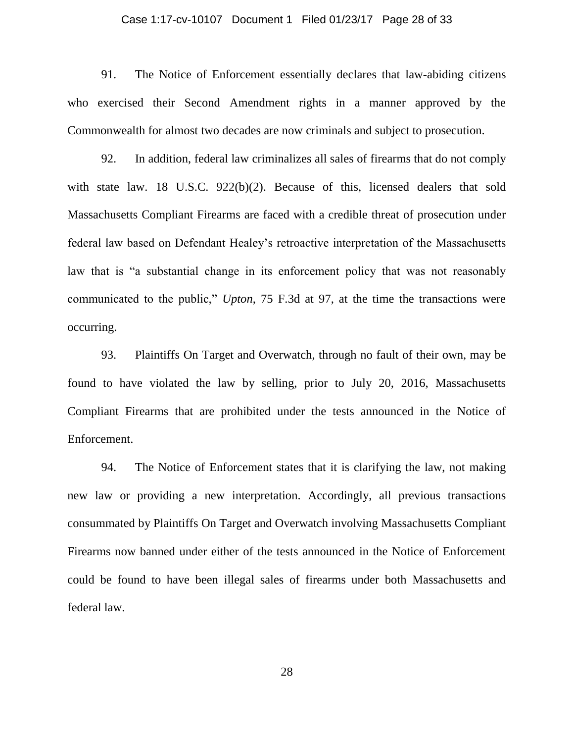## Case 1:17-cv-10107 Document 1 Filed 01/23/17 Page 28 of 33

91. The Notice of Enforcement essentially declares that law-abiding citizens who exercised their Second Amendment rights in a manner approved by the Commonwealth for almost two decades are now criminals and subject to prosecution.

92. In addition, federal law criminalizes all sales of firearms that do not comply with state law. 18 U.S.C. 922(b)(2). Because of this, licensed dealers that sold Massachusetts Compliant Firearms are faced with a credible threat of prosecution under federal law based on Defendant Healey's retroactive interpretation of the Massachusetts law that is "a substantial change in its enforcement policy that was not reasonably communicated to the public," *Upton*, 75 F.3d at 97, at the time the transactions were occurring.

93. Plaintiffs On Target and Overwatch, through no fault of their own, may be found to have violated the law by selling, prior to July 20, 2016, Massachusetts Compliant Firearms that are prohibited under the tests announced in the Notice of Enforcement.

94. The Notice of Enforcement states that it is clarifying the law, not making new law or providing a new interpretation. Accordingly, all previous transactions consummated by Plaintiffs On Target and Overwatch involving Massachusetts Compliant Firearms now banned under either of the tests announced in the Notice of Enforcement could be found to have been illegal sales of firearms under both Massachusetts and federal law.

28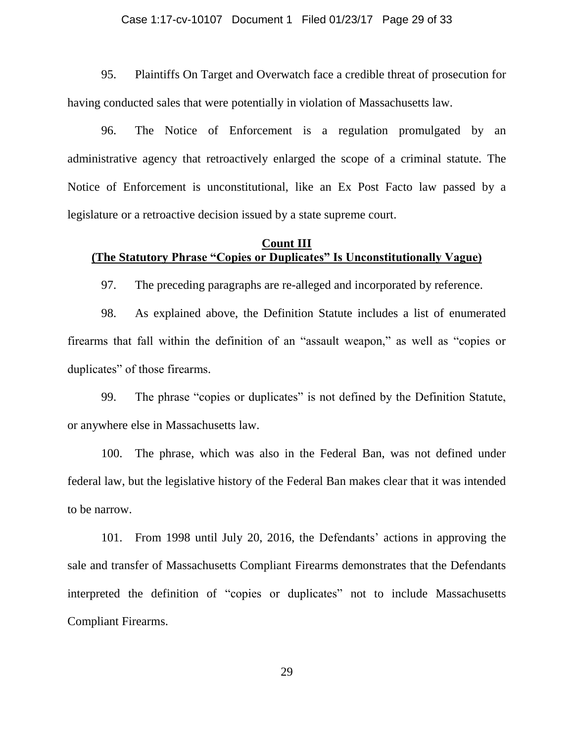## Case 1:17-cv-10107 Document 1 Filed 01/23/17 Page 29 of 33

95. Plaintiffs On Target and Overwatch face a credible threat of prosecution for having conducted sales that were potentially in violation of Massachusetts law.

96. The Notice of Enforcement is a regulation promulgated by an administrative agency that retroactively enlarged the scope of a criminal statute. The Notice of Enforcement is unconstitutional, like an Ex Post Facto law passed by a legislature or a retroactive decision issued by a state supreme court.

## **Count III (The Statutory Phrase "Copies or Duplicates" Is Unconstitutionally Vague)**

97. The preceding paragraphs are re-alleged and incorporated by reference.

98. As explained above, the Definition Statute includes a list of enumerated firearms that fall within the definition of an "assault weapon," as well as "copies or duplicates" of those firearms.

99. The phrase "copies or duplicates" is not defined by the Definition Statute, or anywhere else in Massachusetts law.

100. The phrase, which was also in the Federal Ban, was not defined under federal law, but the legislative history of the Federal Ban makes clear that it was intended to be narrow.

101. From 1998 until July 20, 2016, the Defendants' actions in approving the sale and transfer of Massachusetts Compliant Firearms demonstrates that the Defendants interpreted the definition of "copies or duplicates" not to include Massachusetts Compliant Firearms.

29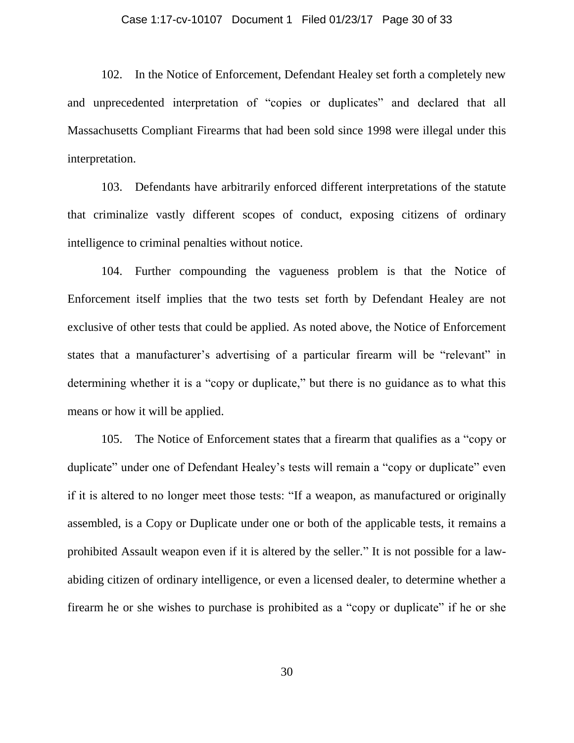## Case 1:17-cv-10107 Document 1 Filed 01/23/17 Page 30 of 33

102. In the Notice of Enforcement, Defendant Healey set forth a completely new and unprecedented interpretation of "copies or duplicates" and declared that all Massachusetts Compliant Firearms that had been sold since 1998 were illegal under this interpretation.

103. Defendants have arbitrarily enforced different interpretations of the statute that criminalize vastly different scopes of conduct, exposing citizens of ordinary intelligence to criminal penalties without notice.

104. Further compounding the vagueness problem is that the Notice of Enforcement itself implies that the two tests set forth by Defendant Healey are not exclusive of other tests that could be applied. As noted above, the Notice of Enforcement states that a manufacturer's advertising of a particular firearm will be "relevant" in determining whether it is a "copy or duplicate," but there is no guidance as to what this means or how it will be applied.

105. The Notice of Enforcement states that a firearm that qualifies as a "copy or duplicate" under one of Defendant Healey's tests will remain a "copy or duplicate" even if it is altered to no longer meet those tests: "If a weapon, as manufactured or originally assembled, is a Copy or Duplicate under one or both of the applicable tests, it remains a prohibited Assault weapon even if it is altered by the seller." It is not possible for a lawabiding citizen of ordinary intelligence, or even a licensed dealer, to determine whether a firearm he or she wishes to purchase is prohibited as a "copy or duplicate" if he or she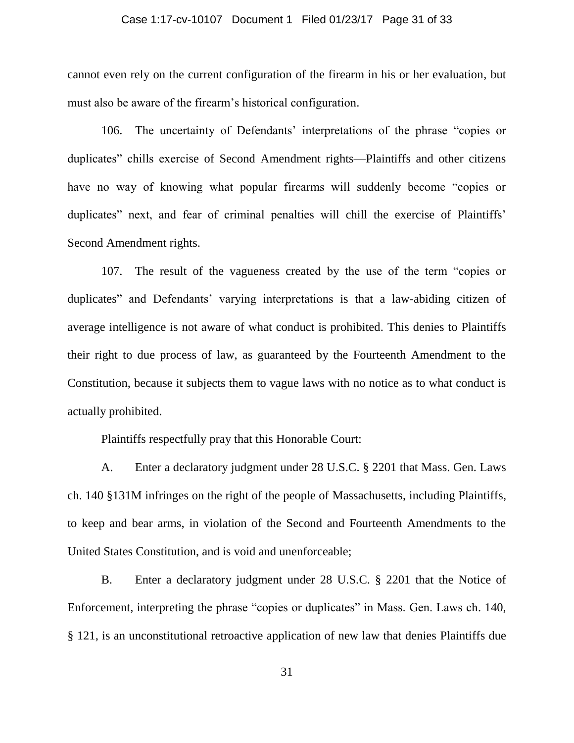## Case 1:17-cv-10107 Document 1 Filed 01/23/17 Page 31 of 33

cannot even rely on the current configuration of the firearm in his or her evaluation, but must also be aware of the firearm's historical configuration.

106. The uncertainty of Defendants' interpretations of the phrase "copies or duplicates" chills exercise of Second Amendment rights—Plaintiffs and other citizens have no way of knowing what popular firearms will suddenly become "copies or duplicates" next, and fear of criminal penalties will chill the exercise of Plaintiffs' Second Amendment rights.

107. The result of the vagueness created by the use of the term "copies or duplicates" and Defendants' varying interpretations is that a law-abiding citizen of average intelligence is not aware of what conduct is prohibited. This denies to Plaintiffs their right to due process of law, as guaranteed by the Fourteenth Amendment to the Constitution, because it subjects them to vague laws with no notice as to what conduct is actually prohibited.

Plaintiffs respectfully pray that this Honorable Court:

A. Enter a declaratory judgment under 28 U.S.C. § 2201 that Mass. Gen. Laws ch. 140 §131M infringes on the right of the people of Massachusetts, including Plaintiffs, to keep and bear arms, in violation of the Second and Fourteenth Amendments to the United States Constitution, and is void and unenforceable;

B. Enter a declaratory judgment under 28 U.S.C. § 2201 that the Notice of Enforcement, interpreting the phrase "copies or duplicates" in Mass. Gen. Laws ch. 140, § 121, is an unconstitutional retroactive application of new law that denies Plaintiffs due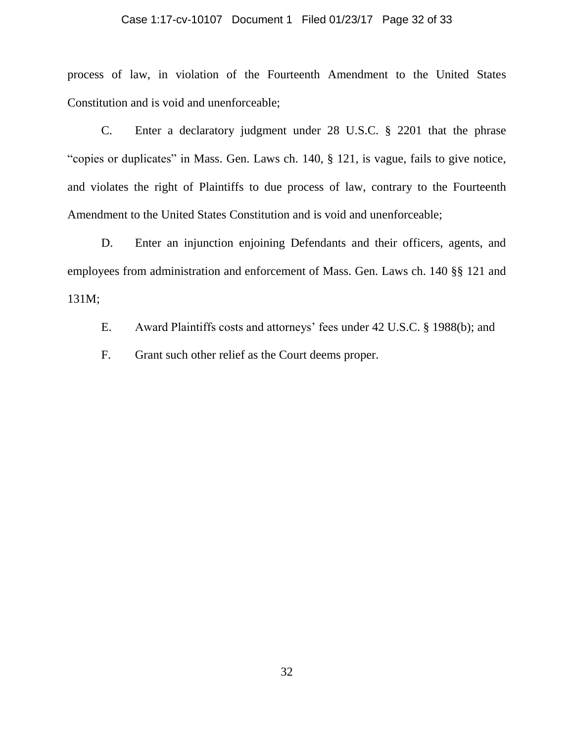## Case 1:17-cv-10107 Document 1 Filed 01/23/17 Page 32 of 33

process of law, in violation of the Fourteenth Amendment to the United States Constitution and is void and unenforceable;

C. Enter a declaratory judgment under 28 U.S.C. § 2201 that the phrase "copies or duplicates" in Mass. Gen. Laws ch. 140, § 121, is vague, fails to give notice, and violates the right of Plaintiffs to due process of law, contrary to the Fourteenth Amendment to the United States Constitution and is void and unenforceable;

D. Enter an injunction enjoining Defendants and their officers, agents, and employees from administration and enforcement of Mass. Gen. Laws ch. 140 §§ 121 and 131M;

E. Award Plaintiffs costs and attorneys' fees under 42 U.S.C. § 1988(b); and

F. Grant such other relief as the Court deems proper.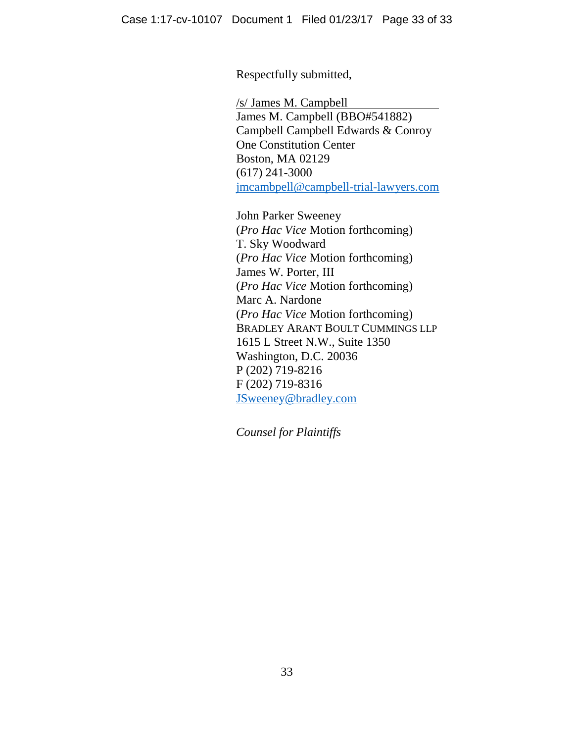Respectfully submitted,

/s/ James M. Campbell James M. Campbell (BBO#541882) Campbell Campbell Edwards & Conroy One Constitution Center Boston, MA 02129 (617) 241-3000 [jmcambpell@campbell-trial-lawyers.com](mailto:jmcambpell@campbell-trial-lawyers.com)

John Parker Sweeney (*Pro Hac Vice* Motion forthcoming) T. Sky Woodward (*Pro Hac Vice* Motion forthcoming) James W. Porter, III (*Pro Hac Vice* Motion forthcoming) Marc A. Nardone (*Pro Hac Vice* Motion forthcoming) BRADLEY ARANT BOULT CUMMINGS LLP 1615 L Street N.W., Suite 1350 Washington, D.C. 20036 P (202) 719-8216 F (202) 719-8316 [JSweeney@bradley.com](mailto:JSweeney@bradley.com)

*Counsel for Plaintiffs*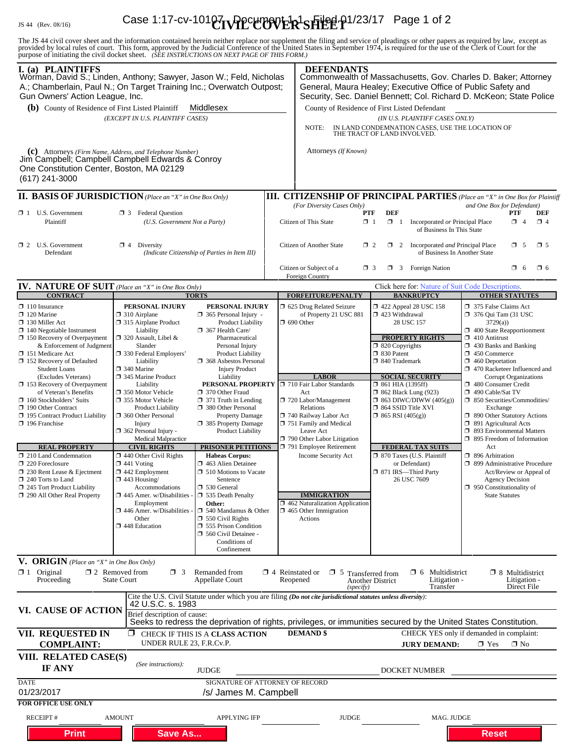# IS 44 (Rev. 08/16) **Case 1:17-cv-10107 \RPCUTOVER<sup>1</sup>SHEE**T<sup>1</sup>/23/17 Page 1 of 2

The JS 44 civil cover sheet and the information contained herein neither replace nor supplement the filing and service of pleadings or other papers as required by law, except as provided by local rules of court. This form,

| I. (a) PLAINTIFFS<br>Worman, David S.; Linden, Anthony; Sawyer, Jason W.; Feld, Nicholas<br>A.; Chamberlain, Paul N.; On Target Training Inc.; Overwatch Outpost;<br>Gun Owners' Action League, Inc.<br>(b) County of Residence of First Listed Plaintiff<br>Middlesex<br>(EXCEPT IN U.S. PLAINTIFF CASES)<br>(c) Attorneys (Firm Name, Address, and Telephone Number)<br>Jim Campbell; Campbell Campbell Edwards & Conroy<br>One Constitution Center, Boston, MA 02129                                                                                                                                                                                      |                                                                                                                                                                                                                                                                                                                                                                                                                                                                                                                                                                                                                                                                |                                                                                                                                                                                                                                                                                                                                                                                                                                                                                                                                                                                                                                                                                                                                                                            |                                                                                                                                                                                                                                                                                                                             | <b>DEFENDANTS</b><br>Commonwealth of Massachusetts, Gov. Charles D. Baker; Attorney<br>General, Maura Healey; Executive Office of Public Safety and<br>Security, Sec. Daniel Bennett; Col. Richard D. McKeon; State Police<br>County of Residence of First Listed Defendant<br>(IN U.S. PLAINTIFF CASES ONLY)<br>IN LAND CONDEMNATION CASES, USE THE LOCATION OF<br>NOTE:<br>THE TRACT OF LAND INVOLVED.<br>Attorneys (If Known)   |                                                                                                                                                                        |                                                                                                                                                                                                                                                                                                   |                                                                                                                                                                                                                                                                                                                                                                                                                                                                                                                                                                                                                                                                                                       |
|--------------------------------------------------------------------------------------------------------------------------------------------------------------------------------------------------------------------------------------------------------------------------------------------------------------------------------------------------------------------------------------------------------------------------------------------------------------------------------------------------------------------------------------------------------------------------------------------------------------------------------------------------------------|----------------------------------------------------------------------------------------------------------------------------------------------------------------------------------------------------------------------------------------------------------------------------------------------------------------------------------------------------------------------------------------------------------------------------------------------------------------------------------------------------------------------------------------------------------------------------------------------------------------------------------------------------------------|----------------------------------------------------------------------------------------------------------------------------------------------------------------------------------------------------------------------------------------------------------------------------------------------------------------------------------------------------------------------------------------------------------------------------------------------------------------------------------------------------------------------------------------------------------------------------------------------------------------------------------------------------------------------------------------------------------------------------------------------------------------------------|-----------------------------------------------------------------------------------------------------------------------------------------------------------------------------------------------------------------------------------------------------------------------------------------------------------------------------|------------------------------------------------------------------------------------------------------------------------------------------------------------------------------------------------------------------------------------------------------------------------------------------------------------------------------------------------------------------------------------------------------------------------------------|------------------------------------------------------------------------------------------------------------------------------------------------------------------------|---------------------------------------------------------------------------------------------------------------------------------------------------------------------------------------------------------------------------------------------------------------------------------------------------|-------------------------------------------------------------------------------------------------------------------------------------------------------------------------------------------------------------------------------------------------------------------------------------------------------------------------------------------------------------------------------------------------------------------------------------------------------------------------------------------------------------------------------------------------------------------------------------------------------------------------------------------------------------------------------------------------------|
| (617) 241-3000                                                                                                                                                                                                                                                                                                                                                                                                                                                                                                                                                                                                                                               |                                                                                                                                                                                                                                                                                                                                                                                                                                                                                                                                                                                                                                                                |                                                                                                                                                                                                                                                                                                                                                                                                                                                                                                                                                                                                                                                                                                                                                                            |                                                                                                                                                                                                                                                                                                                             |                                                                                                                                                                                                                                                                                                                                                                                                                                    |                                                                                                                                                                        |                                                                                                                                                                                                                                                                                                   |                                                                                                                                                                                                                                                                                                                                                                                                                                                                                                                                                                                                                                                                                                       |
| $\Box$ 1 U.S. Government<br>Plaintiff                                                                                                                                                                                                                                                                                                                                                                                                                                                                                                                                                                                                                        | <b>II. BASIS OF JURISDICTION</b> (Place an "X" in One Box Only)<br>$\mathbf{\Sigma}$ 3 Federal Question<br>(U.S. Government Not a Party)<br>$\Box$ 2 U.S. Government<br>$\Box$ 4 Diversity<br>Defendant<br>(Indicate Citizenship of Parties in Item III)                                                                                                                                                                                                                                                                                                                                                                                                       |                                                                                                                                                                                                                                                                                                                                                                                                                                                                                                                                                                                                                                                                                                                                                                            | <b>III. CITIZENSHIP OF PRINCIPAL PARTIES</b> (Place an "X" in One Box for Plaintiff<br>and One Box for Defendant)<br>(For Diversity Cases Only)<br>DEF<br><b>PTF</b><br>PTF<br>DEF<br>$\Box$ 1<br>Citizen of This State<br>$\Box$ 1<br>$\Box$ 4<br>$\Box$ 4<br>Incorporated or Principal Place<br>of Business In This State |                                                                                                                                                                                                                                                                                                                                                                                                                                    |                                                                                                                                                                        |                                                                                                                                                                                                                                                                                                   |                                                                                                                                                                                                                                                                                                                                                                                                                                                                                                                                                                                                                                                                                                       |
|                                                                                                                                                                                                                                                                                                                                                                                                                                                                                                                                                                                                                                                              |                                                                                                                                                                                                                                                                                                                                                                                                                                                                                                                                                                                                                                                                |                                                                                                                                                                                                                                                                                                                                                                                                                                                                                                                                                                                                                                                                                                                                                                            | Citizen of Another State<br>$\Box$ 2<br>Citizen or Subject of a                                                                                                                                                                                                                                                             |                                                                                                                                                                                                                                                                                                                                                                                                                                    | $\Box$ 2<br>Incorporated and Principal Place<br>$\Box$ 5<br>$\square$ 5<br>of Business In Another State<br>$\Box$ 3 Foreign Nation<br>$\Box$ 6<br>$\Box$ 6<br>$\Box$ 3 |                                                                                                                                                                                                                                                                                                   |                                                                                                                                                                                                                                                                                                                                                                                                                                                                                                                                                                                                                                                                                                       |
|                                                                                                                                                                                                                                                                                                                                                                                                                                                                                                                                                                                                                                                              |                                                                                                                                                                                                                                                                                                                                                                                                                                                                                                                                                                                                                                                                |                                                                                                                                                                                                                                                                                                                                                                                                                                                                                                                                                                                                                                                                                                                                                                            |                                                                                                                                                                                                                                                                                                                             | Foreign Country                                                                                                                                                                                                                                                                                                                                                                                                                    |                                                                                                                                                                        |                                                                                                                                                                                                                                                                                                   |                                                                                                                                                                                                                                                                                                                                                                                                                                                                                                                                                                                                                                                                                                       |
| <b>IV. NATURE OF SUIT</b> (Place an "X" in One Box Only)                                                                                                                                                                                                                                                                                                                                                                                                                                                                                                                                                                                                     |                                                                                                                                                                                                                                                                                                                                                                                                                                                                                                                                                                                                                                                                |                                                                                                                                                                                                                                                                                                                                                                                                                                                                                                                                                                                                                                                                                                                                                                            |                                                                                                                                                                                                                                                                                                                             |                                                                                                                                                                                                                                                                                                                                                                                                                                    |                                                                                                                                                                        |                                                                                                                                                                                                                                                                                                   | Click here for: Nature of Suit Code Descriptions.                                                                                                                                                                                                                                                                                                                                                                                                                                                                                                                                                                                                                                                     |
| <b>CONTRACT</b><br>$\Box$ 110 Insurance<br>$\Box$ 120 Marine<br>130 Miller Act<br>$\Box$ 140 Negotiable Instrument<br>$\Box$ 150 Recovery of Overpayment<br>& Enforcement of Judgment<br>□ 151 Medicare Act<br>152 Recovery of Defaulted<br><b>Student Loans</b><br>(Excludes Veterans)<br>$\Box$ 153 Recovery of Overpayment<br>of Veteran's Benefits<br>$\Box$ 160 Stockholders' Suits<br>190 Other Contract<br>195 Contract Product Liability<br>196 Franchise<br><b>REAL PROPERTY</b><br>210 Land Condemnation<br>220 Foreclosure<br>$\Box$ 230 Rent Lease & Ejectment<br>240 Torts to Land<br>245 Tort Product Liability<br>290 All Other Real Property | PERSONAL INJURY<br>$\Box$ 310 Airplane<br>□ 315 Airplane Product<br>Liability<br>$\Box$ 320 Assault, Libel &<br>Slander<br>□ 330 Federal Employers'<br>Liability<br>7 340 Marine<br>□ 345 Marine Product<br>Liability<br>□ 350 Motor Vehicle<br>□ 355 Motor Vehicle<br><b>Product Liability</b><br>360 Other Personal<br>Injury<br>$\Box$ 362 Personal Injury -<br><b>Medical Malpractice</b><br><b>CIVIL RIGHTS</b><br><b>X</b> 440 Other Civil Rights<br>$\Box$ 441 Voting<br>$\Box$ 442 Employment<br>$\Box$ 443 Housing/<br>Accommodations<br>$\Box$ 445 Amer. w/Disabilities<br>Employment<br>$\Box$ 446 Amer. w/Disabilities<br>Other<br>□ 448 Education | <b>TORTS</b><br>PERSONAL INJURY<br>$\Box$ 365 Personal Injury -<br><b>Product Liability</b><br>367 Health Care/<br>Pharmaceutical<br>Personal Injury<br><b>Product Liability</b><br><b>368</b> Asbestos Personal<br><b>Injury Product</b><br>Liability<br>PERSONAL PROPERTY □ 710 Fair Labor Standards<br>370 Other Fraud<br>$\Box$ 371 Truth in Lending<br>380 Other Personal<br><b>Property Damage</b><br>385 Property Damage<br>Product Liability<br>PRISONER PETITIONS<br><b>Habeas Corpus:</b><br>463 Alien Detainee<br><b>J</b> 510 Motions to Vacate<br>Sentence<br>□ 530 General<br><b>335 Death Penalty</b><br>Other:<br>□ 540 Mandamus & Other<br>$\Box$ 550 Civil Rights<br>$\Box$ 555 Prison Condition<br>560 Civil Detainee -<br>Conditions of<br>Confinement |                                                                                                                                                                                                                                                                                                                             | <b>FORFEITURE/PENALTY</b><br>□ 625 Drug Related Seizure<br>of Property 21 USC 881<br>$\Box$ 690 Other<br><b>LABOR</b><br>Act<br>720 Labor/Management<br><b>Relations</b><br>740 Railway Labor Act<br>751 Family and Medical<br>Leave Act<br>790 Other Labor Litigation<br>791 Employee Retirement<br>Income Security Act<br><b>IMMIGRATION</b><br>$\Box$ 462 Naturalization Application<br>$\Box$ 465 Other Immigration<br>Actions | 423 Withdrawal<br>$\Box$ 820 Copyrights<br>□ 830 Patent<br>□ 840 Trademark<br>$\Box$ 861 HIA (1395ff)<br>$\Box$ 864 SSID Title XVI<br>$\Box$ 865 RSI (405(g))          | <b>BANKRUPTCY</b><br>1422 Appeal 28 USC 158<br>28 USC 157<br><b>PROPERTY RIGHTS</b><br><b>SOCIAL SECURITY</b><br>$\Box$ 862 Black Lung (923)<br>$\Box$ 863 DIWC/DIWW (405(g))<br><b>FEDERAL TAX SUITS</b><br>□ 870 Taxes (U.S. Plaintiff<br>or Defendant)<br>□ 871 IRS-Third Party<br>26 USC 7609 | <b>OTHER STATUTES</b><br>7 375 False Claims Act<br>$\Box$ 376 Qui Tam (31 USC<br>3729(a)<br>400 State Reapportionment<br>$\Box$ 410 Antitrust<br>$\Box$ 430 Banks and Banking<br>$\Box$ 450 Commerce<br>$\Box$ 460 Deportation<br>470 Racketeer Influenced and<br><b>Corrupt Organizations</b><br>480 Consumer Credit<br>490 Cable/Sat TV<br>□ 850 Securities/Commodities/<br>Exchange<br>1 890 Other Statutory Actions<br>□ 891 Agricultural Acts<br>□ 893 Environmental Matters<br>$\Box$ 895 Freedom of Information<br>Act<br>□ 896 Arbitration<br>□ 899 Administrative Procedure<br>Act/Review or Appeal of<br><b>Agency Decision</b><br>$\Box$ 950 Constitutionality of<br><b>State Statutes</b> |
| V. ORIGIN (Place an "X" in One Box Only)<br>$\mathbf{X}$ 1 Original<br>Proceeding                                                                                                                                                                                                                                                                                                                                                                                                                                                                                                                                                                            | $\square$ 2 Removed from<br>$\Box$ 3<br><b>State Court</b>                                                                                                                                                                                                                                                                                                                                                                                                                                                                                                                                                                                                     | Remanded from<br><b>Appellate Court</b>                                                                                                                                                                                                                                                                                                                                                                                                                                                                                                                                                                                                                                                                                                                                    |                                                                                                                                                                                                                                                                                                                             | $\Box$ 4 Reinstated or $\Box$ 5 Transferred from<br>Reopened<br>(specify)                                                                                                                                                                                                                                                                                                                                                          | <b>Another District</b>                                                                                                                                                | $\Box$ 6 Multidistrict<br>Litigation -<br>Transfer                                                                                                                                                                                                                                                | $\Box$ 8 Multidistrict<br>Litigation -<br>Direct File                                                                                                                                                                                                                                                                                                                                                                                                                                                                                                                                                                                                                                                 |
| VI. CAUSE OF ACTION                                                                                                                                                                                                                                                                                                                                                                                                                                                                                                                                                                                                                                          | 42 U.S.C. s. 1983<br>Brief description of cause:                                                                                                                                                                                                                                                                                                                                                                                                                                                                                                                                                                                                               |                                                                                                                                                                                                                                                                                                                                                                                                                                                                                                                                                                                                                                                                                                                                                                            |                                                                                                                                                                                                                                                                                                                             | Cite the U.S. Civil Statute under which you are filing (Do not cite jurisdictional statutes unless diversity):                                                                                                                                                                                                                                                                                                                     |                                                                                                                                                                        |                                                                                                                                                                                                                                                                                                   | Seeks to redress the deprivation of rights, privileges, or immunities secured by the United States Constitution.                                                                                                                                                                                                                                                                                                                                                                                                                                                                                                                                                                                      |
| VII. REQUESTED IN<br><b>COMPLAINT:</b>                                                                                                                                                                                                                                                                                                                                                                                                                                                                                                                                                                                                                       | □<br>UNDER RULE 23, F.R.Cv.P.                                                                                                                                                                                                                                                                                                                                                                                                                                                                                                                                                                                                                                  | CHECK IF THIS IS A CLASS ACTION                                                                                                                                                                                                                                                                                                                                                                                                                                                                                                                                                                                                                                                                                                                                            |                                                                                                                                                                                                                                                                                                                             | <b>DEMAND</b> \$                                                                                                                                                                                                                                                                                                                                                                                                                   |                                                                                                                                                                        | <b>JURY DEMAND:</b>                                                                                                                                                                                                                                                                               | CHECK YES only if demanded in complaint:<br>$X_{\text{No}}$<br>$\Box$ Yes                                                                                                                                                                                                                                                                                                                                                                                                                                                                                                                                                                                                                             |
| VIII. RELATED CASE(S)<br><b>IF ANY</b>                                                                                                                                                                                                                                                                                                                                                                                                                                                                                                                                                                                                                       | (See instructions):                                                                                                                                                                                                                                                                                                                                                                                                                                                                                                                                                                                                                                            | <b>JUDGE</b>                                                                                                                                                                                                                                                                                                                                                                                                                                                                                                                                                                                                                                                                                                                                                               |                                                                                                                                                                                                                                                                                                                             |                                                                                                                                                                                                                                                                                                                                                                                                                                    |                                                                                                                                                                        | DOCKET NUMBER                                                                                                                                                                                                                                                                                     |                                                                                                                                                                                                                                                                                                                                                                                                                                                                                                                                                                                                                                                                                                       |
| <b>DATE</b><br>01/23/2017                                                                                                                                                                                                                                                                                                                                                                                                                                                                                                                                                                                                                                    |                                                                                                                                                                                                                                                                                                                                                                                                                                                                                                                                                                                                                                                                | SIGNATURE OF ATTORNEY OF RECORD<br>/s/ James M. Campbell                                                                                                                                                                                                                                                                                                                                                                                                                                                                                                                                                                                                                                                                                                                   |                                                                                                                                                                                                                                                                                                                             |                                                                                                                                                                                                                                                                                                                                                                                                                                    |                                                                                                                                                                        |                                                                                                                                                                                                                                                                                                   |                                                                                                                                                                                                                                                                                                                                                                                                                                                                                                                                                                                                                                                                                                       |
| <b>FOR OFFICE USE ONLY</b><br><b>RECEIPT#</b>                                                                                                                                                                                                                                                                                                                                                                                                                                                                                                                                                                                                                | <b>AMOUNT</b>                                                                                                                                                                                                                                                                                                                                                                                                                                                                                                                                                                                                                                                  | <b>APPLYING IFP</b>                                                                                                                                                                                                                                                                                                                                                                                                                                                                                                                                                                                                                                                                                                                                                        |                                                                                                                                                                                                                                                                                                                             | <b>JUDGE</b>                                                                                                                                                                                                                                                                                                                                                                                                                       |                                                                                                                                                                        | MAG. JUDGE                                                                                                                                                                                                                                                                                        |                                                                                                                                                                                                                                                                                                                                                                                                                                                                                                                                                                                                                                                                                                       |
| <b>Print</b>                                                                                                                                                                                                                                                                                                                                                                                                                                                                                                                                                                                                                                                 | <b>Save As</b>                                                                                                                                                                                                                                                                                                                                                                                                                                                                                                                                                                                                                                                 |                                                                                                                                                                                                                                                                                                                                                                                                                                                                                                                                                                                                                                                                                                                                                                            |                                                                                                                                                                                                                                                                                                                             |                                                                                                                                                                                                                                                                                                                                                                                                                                    |                                                                                                                                                                        |                                                                                                                                                                                                                                                                                                   | <b>Reset</b>                                                                                                                                                                                                                                                                                                                                                                                                                                                                                                                                                                                                                                                                                          |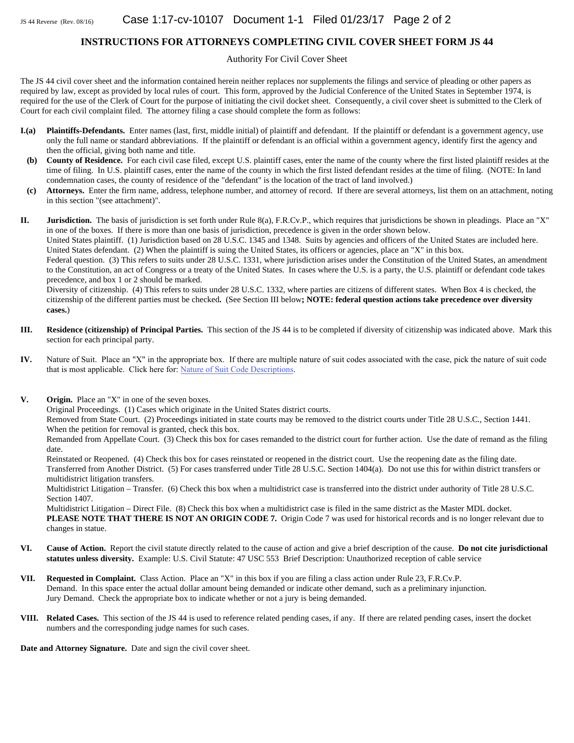## **INSTRUCTIONS FOR ATTORNEYS COMPLETING CIVIL COVER SHEET FORM JS 44**

Authority For Civil Cover Sheet

The JS 44 civil cover sheet and the information contained herein neither replaces nor supplements the filings and service of pleading or other papers as required by law, except as provided by local rules of court. This form, approved by the Judicial Conference of the United States in September 1974, is required for the use of the Clerk of Court for the purpose of initiating the civil docket sheet. Consequently, a civil cover sheet is submitted to the Clerk of Court for each civil complaint filed. The attorney filing a case should complete the form as follows:

- **I.(a)** Plaintiffs-Defendants. Enter names (last, first, middle initial) of plaintiff and defendant. If the plaintiff or defendant is a government agency, use only the full name or standard abbreviations. If the plaintiff or defendant is an official within a government agency, identify first the agency and then the official, giving both name and title.
- **(b) County of Residence.** For each civil case filed, except U.S. plaintiff cases, enter the name of the county where the first listed plaintiff resides at the time of filing. In U.S. plaintiff cases, enter the name of the county in which the first listed defendant resides at the time of filing. (NOTE: In land condemnation cases, the county of residence of the "defendant" is the location of the tract of land involved.)
- **(c) Attorneys.** Enter the firm name, address, telephone number, and attorney of record. If there are several attorneys, list them on an attachment, noting in this section "(see attachment)".

**II. Jurisdiction.** The basis of jurisdiction is set forth under Rule 8(a), F.R.Cv.P., which requires that jurisdictions be shown in pleadings. Place an "X" in one of the boxes. If there is more than one basis of jurisdiction, precedence is given in the order shown below. United States plaintiff. (1) Jurisdiction based on 28 U.S.C. 1345 and 1348. Suits by agencies and officers of the United States are included here. United States defendant. (2) When the plaintiff is suing the United States, its officers or agencies, place an "X" in this box.

Federal question. (3) This refers to suits under 28 U.S.C. 1331, where jurisdiction arises under the Constitution of the United States, an amendment to the Constitution, an act of Congress or a treaty of the United States. In cases where the U.S. is a party, the U.S. plaintiff or defendant code takes precedence, and box 1 or 2 should be marked.

Diversity of citizenship. (4) This refers to suits under 28 U.S.C. 1332, where parties are citizens of different states. When Box 4 is checked, the citizenship of the different parties must be checked**.** (See Section III below**; NOTE: federal question actions take precedence over diversity cases.**)

- **III. Residence (citizenship) of Principal Parties.** This section of the JS 44 is to be completed if diversity of citizenship was indicated above. Mark this section for each principal party.
- **IV.** Nature of Suit. Place an "X" in the appropriate box. If there are multiple nature of suit codes associated with the case, pick the nature of suit code that is most applicable. Click here for: Nature of Suit Code Descriptions.
- **V. Origin.** Place an "X" in one of the seven boxes.

Original Proceedings. (1) Cases which originate in the United States district courts.

Removed from State Court. (2) Proceedings initiated in state courts may be removed to the district courts under Title 28 U.S.C., Section 1441. When the petition for removal is granted, check this box.

Remanded from Appellate Court. (3) Check this box for cases remanded to the district court for further action. Use the date of remand as the filing date.

Reinstated or Reopened. (4) Check this box for cases reinstated or reopened in the district court. Use the reopening date as the filing date. Transferred from Another District. (5) For cases transferred under Title 28 U.S.C. Section 1404(a). Do not use this for within district transfers or multidistrict litigation transfers.

Multidistrict Litigation – Transfer. (6) Check this box when a multidistrict case is transferred into the district under authority of Title 28 U.S.C. Section 1407.

Multidistrict Litigation – Direct File. (8) Check this box when a multidistrict case is filed in the same district as the Master MDL docket. **PLEASE NOTE THAT THERE IS NOT AN ORIGIN CODE 7.** Origin Code 7 was used for historical records and is no longer relevant due to changes in statue.

- **VI. Cause of Action.** Report the civil statute directly related to the cause of action and give a brief description of the cause. **Do not cite jurisdictional statutes unless diversity.** Example: U.S. Civil Statute: 47 USC 553 Brief Description: Unauthorized reception of cable service
- **VII. Requested in Complaint.** Class Action. Place an "X" in this box if you are filing a class action under Rule 23, F.R.Cv.P. Demand. In this space enter the actual dollar amount being demanded or indicate other demand, such as a preliminary injunction. Jury Demand. Check the appropriate box to indicate whether or not a jury is being demanded.
- **VIII. Related Cases.** This section of the JS 44 is used to reference related pending cases, if any. If there are related pending cases, insert the docket numbers and the corresponding judge names for such cases.

**Date and Attorney Signature.** Date and sign the civil cover sheet.